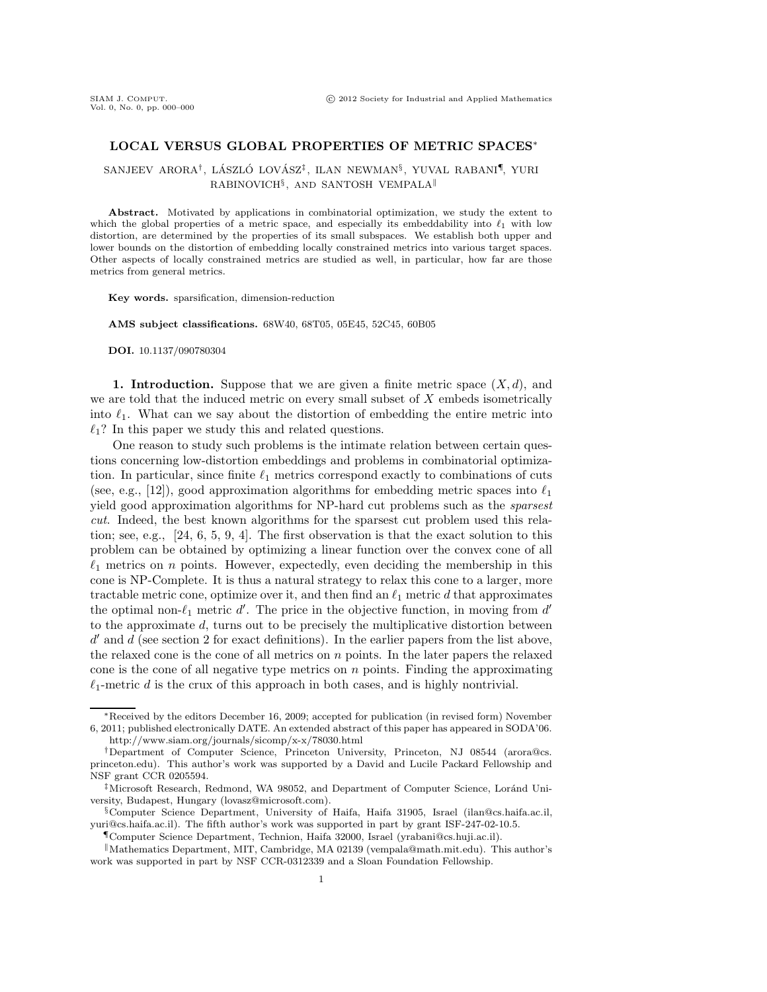## **LOCAL VERSUS GLOBAL PROPERTIES OF METRIC SPACES**<sup>∗</sup>

SANJEEV ARORA<sup>†</sup>, LÁSZLÓ LOVÁSZ<sup>‡</sup>, ILAN NEWMAN<sup>§</sup>, YUVAL RABANI<sup>¶</sup>, YURI  $\text{RABINOVICH}^{\S}$ , AND SANTOSH VEMPALA<sup>||</sup>

**Abstract.** Motivated by applications in combinatorial optimization, we study the extent to which the global properties of a metric space, and especially its embeddability into  $\ell_1$  with low distortion, are determined by the properties of its small subspaces. We establish both upper and lower bounds on the distortion of embedding locally constrained metrics into various target spaces. Other aspects of locally constrained metrics are studied as well, in particular, how far are those metrics from general metrics.

**Key words.** sparsification, dimension-reduction

**AMS subject classifications.** 68W40, 68T05, 05E45, 52C45, 60B05

**DOI.** 10.1137/090780304

**1. Introduction.** Suppose that we are given a finite metric space  $(X, d)$ , and we are told that the induced metric on every small subset of  $X$  embeds isometrically into  $\ell_1$ . What can we say about the distortion of embedding the entire metric into  $\ell_1$ ? In this paper we study this and related questions.

One reason to study such problems is the intimate relation between certain questions concerning low-distortion embeddings and problems in combinatorial optimization. In particular, since finite  $\ell_1$  metrics correspond exactly to combinations of cuts<br>(see  $\ell_1$  = [12]), seed entropyingtien electricians for exploding metric grosss into  $\ell_1$ (see, e.g., [12]), good approximation algorithms for embedding metric spaces into  $\ell_1$ 1 yield good approximation algorithms for NP-hard cut problems such as the *sparsest cut*. Indeed, the best known algorithms for the sparsest cut problem used this relation; see, e.g., [24, 6, 5, 9, 4]. The first observation is that the exact solution to this problem can be obtained by optimizing a linear function over the convex cone of all  $\ell_1$  metrics on *n* points. However, expectedly, even deciding the membership in this cone is NP-Complete. It is thus a natural strategy to relax this cone to a larger, more tractable metric cone, optimize over it, and then find an  $\ell_1$  metric d that approximates<br>the optimal non  $\ell_1$  metric  $d'$ . The price in the abiective function in merging from  $d'$ . the optimal non- $\ell_1$  metric d'. The price in the objective function, in moving from d' to the approximate d, turns out to be precisely the multiplicative distortion between  $d'$  and  $d$  (see section 2 for exact definitions). In the earlier papers from the list above, the relaxed cone is the cone of all metrics on  $n$  points. In the later papers the relaxed cone is the cone of all negative type metrics on  $n$  points. Finding the approximating  $\ell_1$ -metric d is the crux of this approach in both cases, and is highly nontrivial.

<sup>∗</sup>Received by the editors December 16, 2009; accepted for publication (in revised form) November 6, 2011; published electronically DATE. An extended abstract of this paper has appeared in SODA'06. http://www.siam.org/journals/sicomp/x-x/78030.html

<sup>†</sup>Department of Computer Science, Princeton University, Princeton, NJ 08544 (arora@cs. princeton.edu). This author's work was supported by a David and Lucile Packard Fellowship and NSF grant CCR 0205594.

<sup>&</sup>lt;sup>‡</sup>Microsoft Research, Redmond, WA 98052, and Department of Computer Science, Loránd University, Budapest, Hungary (lovasz@microsoft.com).

<sup>§</sup>Computer Science Department, University of Haifa, Haifa 31905, Israel (ilan@cs.haifa.ac.il, yuri@cs.haifa.ac.il). The fifth author's work was supported in part by grant ISF-247-02-10.5.

<sup>¶</sup>Computer Science Department, Technion, Haifa 32000, Israel (yrabani@cs.huji.ac.il).

<sup>-</sup>Mathematics Department, MIT, Cambridge, MA 02139 (vempala@math.mit.edu). This author's work was supported in part by NSF CCR-0312339 and a Sloan Foundation Fellowship.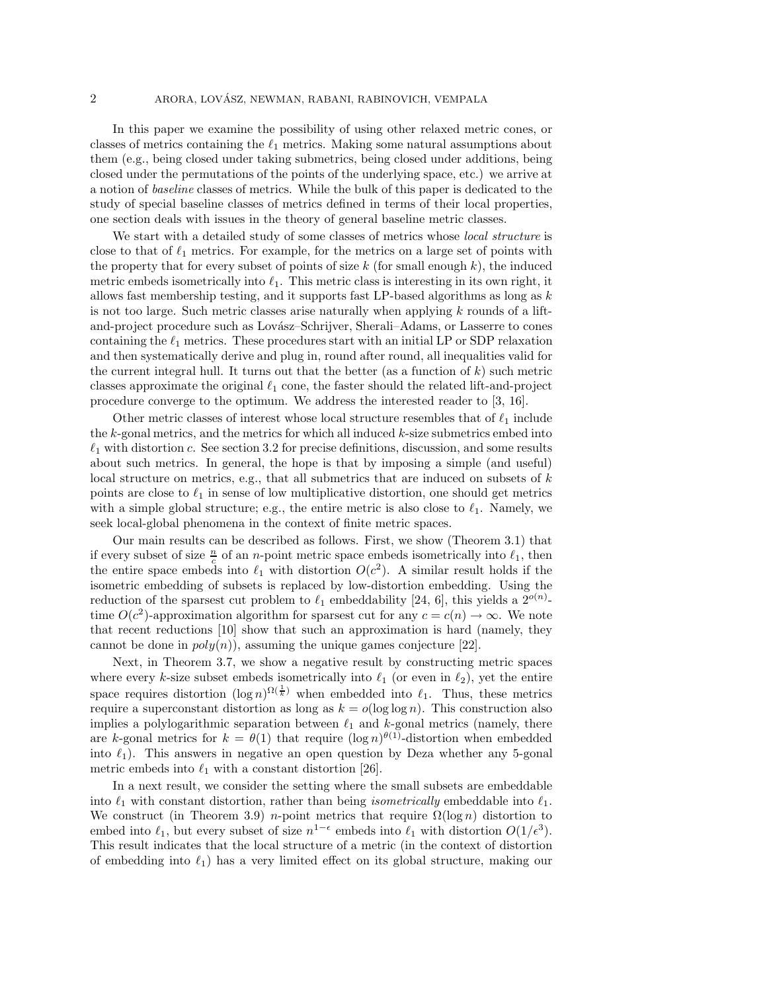In this paper we examine the possibility of using other relaxed metric cones, or classes of metrics containing the  $\ell_1$  metrics. Making some natural assumptions about them  $(\ell, \pi)$  heing closed under taking about them (e.g., being closed under taking submetrics, being closed under additions, being closed under the permutations of the points of the underlying space, etc.) we arrive at a notion of *baseline* classes of metrics. While the bulk of this paper is dedicated to the study of special baseline classes of metrics defined in terms of their local properties, one section deals with issues in the theory of general baseline metric classes.

We start with a detailed study of some classes of metrics whose *local structure* is close to that of  $\ell_1$  metrics. For example, for the metrics on a large set of points with<br>the preparty that for every wheat of points of size  $k$  (for small epouch k), the induced the property that for every subset of points of size  $k$  (for small enough  $k$ ), the induced metric embeds isometrically into  $\ell_1$ . This metric class is interesting in its own right, it<br>allows feat membership testing, and it supports feat LB has<br>addednifilms as large a large in allows fast membership testing, and it supports fast LP-based algorithms as long as  $k$ is not too large. Such metric classes arise naturally when applying  $k$  rounds of a liftand-project procedure such as Lovász–Schrijver, Sherali–Adams, or Lasserre to cones containing the  $\ell_1$  metrics. These procedures start with an initial LP or SDP relaxation<br>and then explorationly derive and plug in pound often named all inconsisting valid for and then systematically derive and plug in, round after round, all inequalities valid for the current integral hull. It turns out that the better (as a function of  $k$ ) such metric classes approximate the original  $\ell_1$  cone, the faster should the related lift-and-project<br>nucedure convenies to the entimine. We address the interested peader to  $[2, 16]$ procedure converge to the optimum. We address the interested reader to [3, 16].

Other metric classes of interest whose local structure resembles that of  $\ell_1$  include the k-gonal metrics, and the metrics for which all induced k-size submetrics embed into  $\ell_1$  with distortion c. See section 3.2 for precise definitions, discussion, and some results about such metrics. In general, the hope is that by imposing a simple (and useful) local structure on metrics, e.g., that all submetrics that are induced on subsets of  $k$ points are close to  $\ell_1$  in sense of low multiplicative distortion, one should get metrics with a simple global structure; e.g., the entire metric is also close to  $\ell_1$ . Namely, we seek local-global phenomena in the context of finite metric spaces.

Our main results can be described as follows. First, we show (Theorem 3.1) that if every subset of size  $\frac{n}{c}$  of an *n*-point metric space embeds isometrically into  $\ell_1$ , then<br>the optime grass embeds into  $\ell$ , with distantion  $O(\epsilon^2)$ . A similar result holds if the the entire space embeds into  $\ell_1$  with distortion  $O(c^2)$ . A similar result holds if the isometric embedding of subsets is replaced by low distortion embedding. Heing the isometric embedding of subsets is replaced by low-distortion embedding. Using the reduction of the sparsest cut problem to  $\ell_1$  embeddability [24, 6], this yields a  $2^{o(n)}$ -<br>time  $O(\epsilon^2)$  approximation algorithm for groupset out for any  $e_n = o(n)$ , i.e., We note time  $O(c^2)$ -approximation algorithm for sparsest cut for any  $c = c(n) \rightarrow \infty$ . We note that recent reductions [10] show that such an approximation is hard (namely, they cannot be done in  $poly(n)$ , assuming the unique games conjecture [22].

Next, in Theorem 3.7, we show a negative result by constructing metric spaces where every k-size subset embeds isometrically into  $\ell_1$  (or even in  $\ell_2$ ), yet the entire space requires distortion  $(\log n)^{\Omega(\frac{1}{k})}$  when embedded into  $\ell_1$ . Thus, these metrics require a superconstant distortion as long as  $k = o(\log \log n)$ . This construction also implies a polylogarithmic separation between  $\ell_1$  and k-gonal metrics (namely, there are k-gonal metrics for  $k = \theta(1)$  that require  $(\log n)^{\theta(1)}$ -distortion when embedded into  $\ell_1$ ). This answers in negative an open question by Deza whether any 5-gonal metric embeds into  $\ell$  with a constant distortion [96] metric embeds into  $\ell_1$  with a constant distortion [26].

In a next result, we consider the setting where the small subsets are embeddable into  $\ell_1$  with constant distortion, rather than being *isometrically* embeddable into  $\ell_1$ .<br>We construct (in Theorem 2.0) a point metrics that require  $O(\log n)$  distortion to We construct (in Theorem 3.9) *n*-point metrics that require  $\Omega(\log n)$  distortion to embed into  $\ell_1$ , but every subset of size  $n^{1-\epsilon}$  embeds into  $\ell_1$  with distortion  $O(1/\epsilon^3)$ .<br>This result indicates that the local structure of a matrix (in the sentent of distortion This result indicates that the local structure of a metric (in the context of distortion of embedding into  $\ell_1$ ) has a very limited effect on its global structure, making our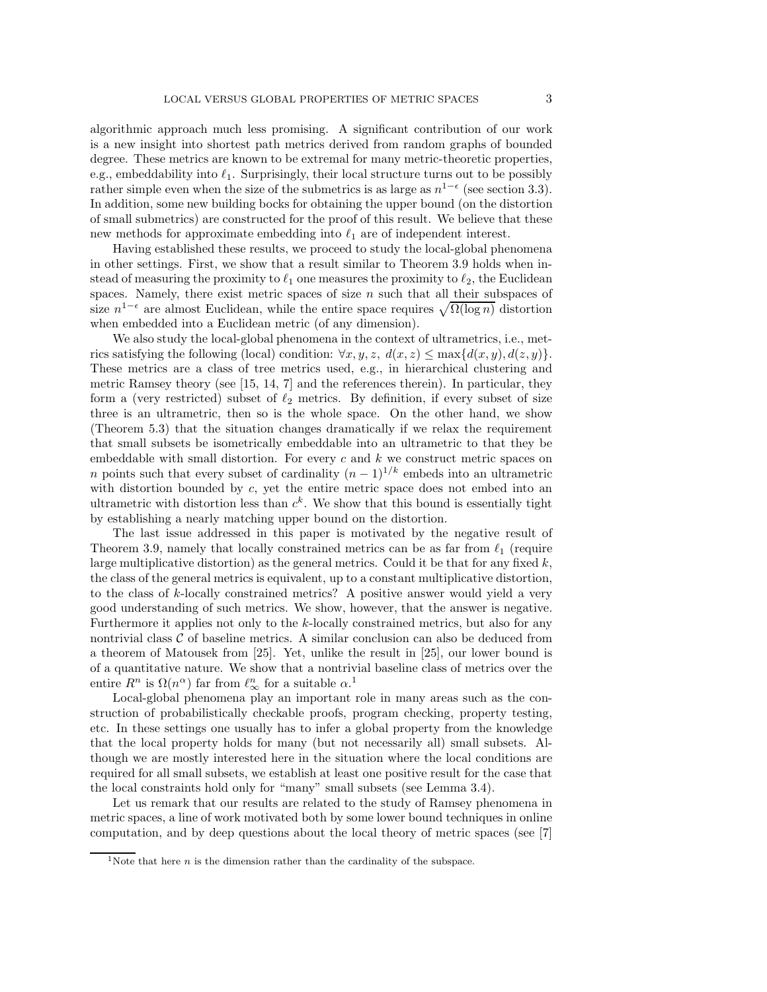algorithmic approach much less promising. A significant contribution of our work is a new insight into shortest path metrics derived from random graphs of bounded degree. These metrics are known to be extremal for many metric-theoretic properties, e.g., embeddability into  $\ell_1$ . Surprisingly, their local structure turns out to be possibly<br>nothing simple such what the size of the submetries is as large as  $n^{1-\epsilon}$  (see section 2.2) rather simple even when the size of the submetrics is as large as  $n^{1-\epsilon}$  (see section 3.3). In addition, some new building bocks for obtaining the upper bound (on the distortion of small submetrics) are constructed for the proof of this result. We believe that these new methods for approximate embedding into  $\ell_1$  are of independent interest.<br>
Having established these perults we preceed to study the local slabel phase

Having established these results, we proceed to study the local-global phenomena in other settings. First, we show that a result similar to Theorem 3.9 holds when instead of measuring the proximity to  $\ell_1$  one measures the proximity to  $\ell_2$ , the Euclidean spaces. Namely, there exist metric spaces of size  $n$  such that all their subspaces of size  $n^{1-\epsilon}$  are almost Euclidean, while the entire space requires  $\sqrt{\Omega(\log n)}$  distortion when embedded into a Euclidean metric (of any dimension).

We also study the local-global phenomena in the context of ultrametrics, i.e., metrics satisfying the following (local) condition:  $\forall x, y, z, d(x, z) \leq \max\{d(x, y), d(z, y)\}.$ These metrics are a class of tree metrics used, e.g., in hierarchical clustering and metric Ramsey theory (see [15, 14, 7] and the references therein). In particular, they form a (very restricted) subset of  $\ell_2$  metrics. By definition, if every subset of size three is an ultrametric, then so is the whole space. On the other hand, we show (Theorem 5.3) that the situation changes dramatically if we relax the requirement that small subsets be isometrically embeddable into an ultrametric to that they be embeddable with small distortion. For every c and  $k$  we construct metric spaces on n points such that every subset of cardinality  $(n-1)^{1/k}$  embeds into an ultrametric with distortion bounded by  $c$ , yet the entire metric space does not embed into an ultrametric with distortion less than  $c^k$ . We show that this bound is essentially tight by establishing a nearly matching upper bound on the distortion.

The last issue addressed in this paper is motivated by the negative result of Theorem 3.9, namely that locally constrained metrics can be as far from  $\ell_1$  (require<br>large multiplicative distantion) as the general metrics. Could it he that for any fixed  $l_1$ large multiplicative distortion) as the general metrics. Could it be that for any fixed  $k$ , the class of the general metrics is equivalent, up to a constant multiplicative distortion, to the class of k-locally constrained metrics? A positive answer would yield a very good understanding of such metrics. We show, however, that the answer is negative. Furthermore it applies not only to the k-locally constrained metrics, but also for any nontrivial class  $\mathcal C$  of baseline metrics. A similar conclusion can also be deduced from a theorem of Matousek from [25]. Yet, unlike the result in [25], our lower bound is of a quantitative nature. We show that a nontrivial baseline class of metrics over the entire  $R^n$  is  $\Omega(n^{\alpha})$  far from  $\ell_{\infty}^n$  for a suitable  $\alpha$ .<sup>1</sup>

Local-global phenomena play an important role in many areas such as the construction of probabilistically checkable proofs, program checking, property testing, etc. In these settings one usually has to infer a global property from the knowledge that the local property holds for many (but not necessarily all) small subsets. Although we are mostly interested here in the situation where the local conditions are required for all small subsets, we establish at least one positive result for the case that the local constraints hold only for "many" small subsets (see Lemma 3.4).

Let us remark that our results are related to the study of Ramsey phenomena in metric spaces, a line of work motivated both by some lower bound techniques in online computation, and by deep questions about the local theory of metric spaces (see [7]

<sup>&</sup>lt;sup>1</sup>Note that here  $n$  is the dimension rather than the cardinality of the subspace.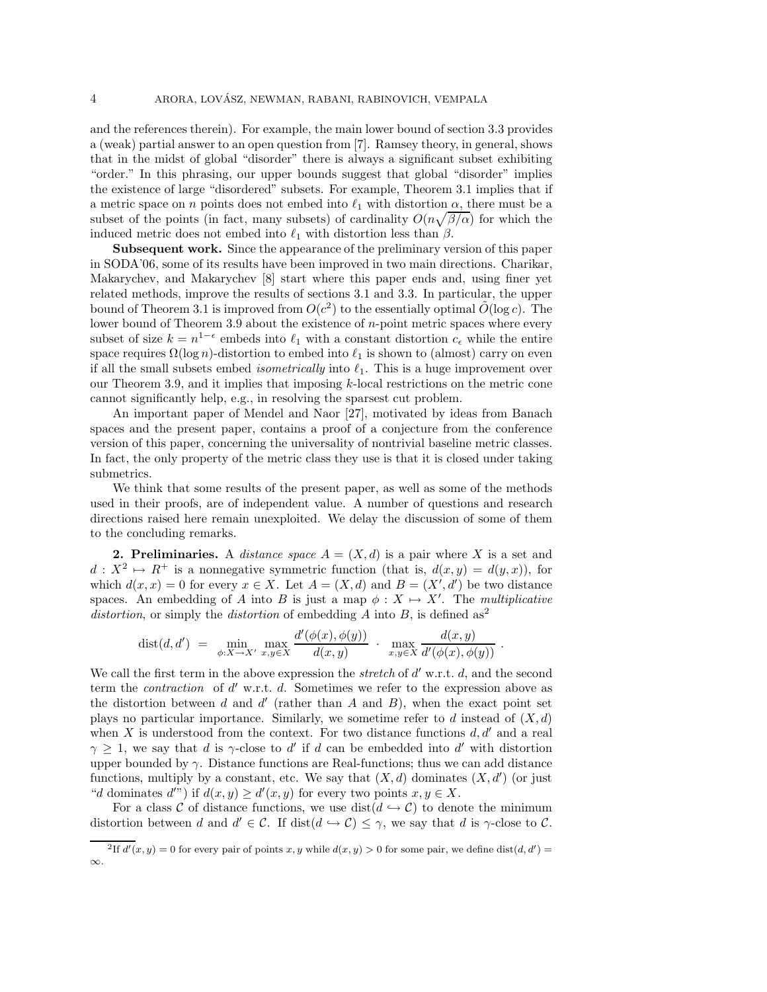and the references therein). For example, the main lower bound of section 3.3 provides a (weak) partial answer to an open question from [7]. Ramsey theory, in general, shows that in the midst of global "disorder" there is always a significant subset exhibiting "order." In this phrasing, our upper bounds suggest that global "disorder" implies the existence of large "disordered" subsets. For example, Theorem 3.1 implies that if a metric space on *n* points does not embed into  $\ell_1$  with distortion  $\alpha$ , there must be a subset of the points (in fact, many subsets) of cardinality  $O(n\sqrt{\beta/\alpha})$  for which the induced metric does not embed into  $\ell_1$  with distortion less than β.<br>Subsequent work. Since the appearance of the preliminary was

**Subsequent work.** Since the appearance of the preliminary version of this paper in SODA'06, some of its results have been improved in two main directions. Charikar, Makarychev, and Makarychev [8] start where this paper ends and, using finer yet related methods, improve the results of sections 3.1 and 3.3. In particular, the upper bound of Theorem 3.1 is improved from  $O(c^2)$  to the essentially optimal  $\tilde{O}(\log c)$ . The lower bound of Theorem 3.9 about the existence of  $n$ -point metric spaces where every subset of size  $k = n^{1-\epsilon}$  embeds into  $\ell_1$  with a constant distortion  $c_{\epsilon}$  while the entire space requires  $\Omega(\log n)$ -distortion to embed into  $\ell_1$  is shown to (almost) carry on even<br>if all the small subsets embed isomotivisely into  $\ell$ . This is a bugg improvement sympif all the small subsets embed *isometrically* into  $\ell_1$ . This is a huge improvement over<br>cur Theorem 2.0, and it implies that imposing *h* local participance the matrix can our Theorem 3.9, and it implies that imposing k-local restrictions on the metric cone cannot significantly help, e.g., in resolving the sparsest cut problem.

An important paper of Mendel and Naor [27], motivated by ideas from Banach spaces and the present paper, contains a proof of a conjecture from the conference version of this paper, concerning the universality of nontrivial baseline metric classes. In fact, the only property of the metric class they use is that it is closed under taking submetrics.

We think that some results of the present paper, as well as some of the methods used in their proofs, are of independent value. A number of questions and research directions raised here remain unexploited. We delay the discussion of some of them to the concluding remarks.

**2. Preliminaries.** A *distance space*  $A = (X, d)$  is a pair where X is a set and  $d: X^2 \mapsto R^+$  is a nonnegative symmetric function (that is,  $d(x,y) = d(y,x)$ ), for which  $d(x, x) = 0$  for every  $x \in X$ . Let  $A = (X, d)$  and  $B = (X', d')$  be two distance spaces. An embedding of A into B is just a map  $\phi: X \mapsto X'$ . The *multiplicative distortion*, or simply the *distortion* of embedding A into B, is defined as<sup>2</sup>

$$
dist(d, d') = \min_{\phi: X \to X'} \max_{x, y \in X} \frac{d'(\phi(x), \phi(y))}{d(x, y)} \cdot \max_{x, y \in X} \frac{d(x, y)}{d'(\phi(x), \phi(y))}.
$$

We call the first term in the above expression the *stretch* of  $d'$  w.r.t.  $d$ , and the second term the *contraction* of d' w.r.t. d. Sometimes we refer to the expression above as the distortion between d and d' (rather than A and B), when the exact point set plays no particular importance. Similarly, we sometime refer to d instead of  $(X, d)$ when X is understood from the context. For two distance functions  $d, d'$  and a real  $\gamma \geq 1$ , we say that d is  $\gamma$ -close to d' if d can be embedded into d' with distortion upper bounded by  $\gamma$ . Distance functions are Real-functions; thus we can add distance functions, multiply by a constant, etc. We say that  $(X, d)$  dominates  $(X, d')$  (or just "d dominates d'") if  $d(x, y) \ge d'(x, y)$  for every two points  $x, y \in X$ .

For a class C of distance functions, we use  $dist(d \hookrightarrow C)$  to denote the minimum distortion between d and  $d' \in \mathcal{C}$ . If  $dist(d \hookrightarrow \mathcal{C}) \leq \gamma$ , we say that d is  $\gamma$ -close to  $\mathcal{C}$ .

 $^{2}$ If  $d'(x, y) = 0$  for every pair of points x, y while  $d(x, y) > 0$  for some pair, we define dist $(d, d') =$ ∞.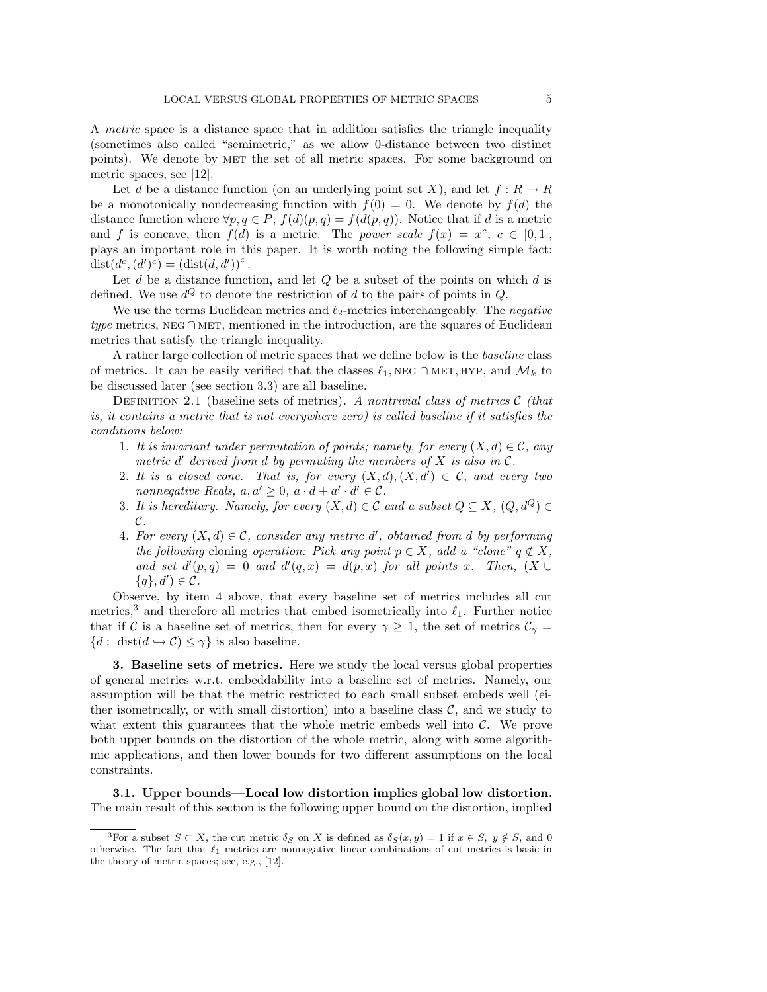A *metric* space is a distance space that in addition satisfies the triangle inequality (sometimes also called "semimetric," as we allow 0-distance between two distinct points). We denote by MET the set of all metric spaces. For some background on metric spaces, see [12].

Let d be a distance function (on an underlying point set X), and let  $f: R \to R$ be a monotonically nondecreasing function with  $f(0) = 0$ . We denote by  $f(d)$  the distance function where  $\forall p, q \in P$ ,  $f(d)(p,q) = f(d(p,q))$ . Notice that if d is a metric and f is concave, then  $f(d)$  is a metric. The *power scale*  $f(x) = x^c, c \in [0,1],$ plays an important role in this paper. It is worth noting the following simple fact:  $dist(d^c, (d')^c) = (dist(d, d'))^c$ .

Let d be a distance function, and let  $Q$  be a subset of the points on which d is defined. We use  $d^Q$  to denote the restriction of d to the pairs of points in  $Q$ .

We use the terms Euclidean metrics and  $\ell_2$ -metrics interchangeably. The *negative*<br>metrics NPG CMEE mentioned in the introduction are the several of Euclidean *type* metrics, NEG ∩ MET, mentioned in the introduction, are the squares of Euclidean metrics that satisfy the triangle inequality.

A rather large collection of metric spaces that we define below is the *baseline* class of metrics. It can be easily verified that the classes  $\ell_1$ , NEG ∩ MET, HYP, and  $\mathcal{M}_k$  to be discussed later (see section 3.3) are all baseline.

Definition 2.1 (baseline sets of metrics). *A nontrivial class of metrics* C *(that is, it contains a metric that is not everywhere zero) is called baseline if it satisfies the conditions below:*

- 1. It is invariant under permutation of points; namely, for every  $(X, d) \in \mathcal{C}$ , any *metric*  $d'$  derived from  $d$  by permuting the members of  $X$  is also in  $C$ .
- 2. It is a closed cone. That is, for every  $(X, d), (X, d') \in \mathcal{C}$ , and every two *nonnegative Reals,*  $a, a' \geq 0$ ,  $a \cdot d + a' \cdot d' \in \mathcal{C}$ .
- 3. It is hereditary. Namely, for every  $(X, d) \in \mathcal{C}$  and a subset  $Q \subseteq X$ ,  $(Q, d^Q) \in$ C*.*
- 4. For every  $(X, d) \in \mathcal{C}$ , consider any metric  $d'$ , obtained from d by performing *the following* cloning *operation: Pick any point*  $p \in X$ *, add a "clone"*  $q \notin X$ *,* and set  $d'(p,q) = 0$  and  $d'(q,x) = d(p,x)$  for all points x. Then,  $(X \cup$  ${q}, d'$  $\in \mathcal{C}$ .

Observe, by item 4 above, that every baseline set of metrics includes all cut metrics,<sup>3</sup> and therefore all metrics that embed isometrically into  $\ell_1$ . Further notice that if C is a baseline set of metrics, then for every  $\gamma \geq 1$ , the set of metrics  $\mathcal{C}_{\gamma} =$  ${d : \text{dist}(d \hookrightarrow C) \leq \gamma}$  is also baseline.

**3. Baseline sets of metrics.** Here we study the local versus global properties of general metrics w.r.t. embeddability into a baseline set of metrics. Namely, our assumption will be that the metric restricted to each small subset embeds well (either isometrically, or with small distortion) into a baseline class  $\mathcal{C}$ , and we study to what extent this guarantees that the whole metric embeds well into  $C$ . We prove both upper bounds on the distortion of the whole metric, along with some algorithmic applications, and then lower bounds for two different assumptions on the local constraints.

**3.1. Upper bounds—Local low distortion implies global low distortion.** The main result of this section is the following upper bound on the distortion, implied

<sup>&</sup>lt;sup>3</sup>For a subset  $S \subset X$ , the cut metric  $\delta_S$  on X is defined as  $\delta_S(x, y) = 1$  if  $x \in S$ ,  $y \notin S$ , and 0 otherwise. The fact that  $\ell_1$  metrics are nonnegative linear combinations of cut metrics is basic in the theory of metric spaces; see, e.g., [12].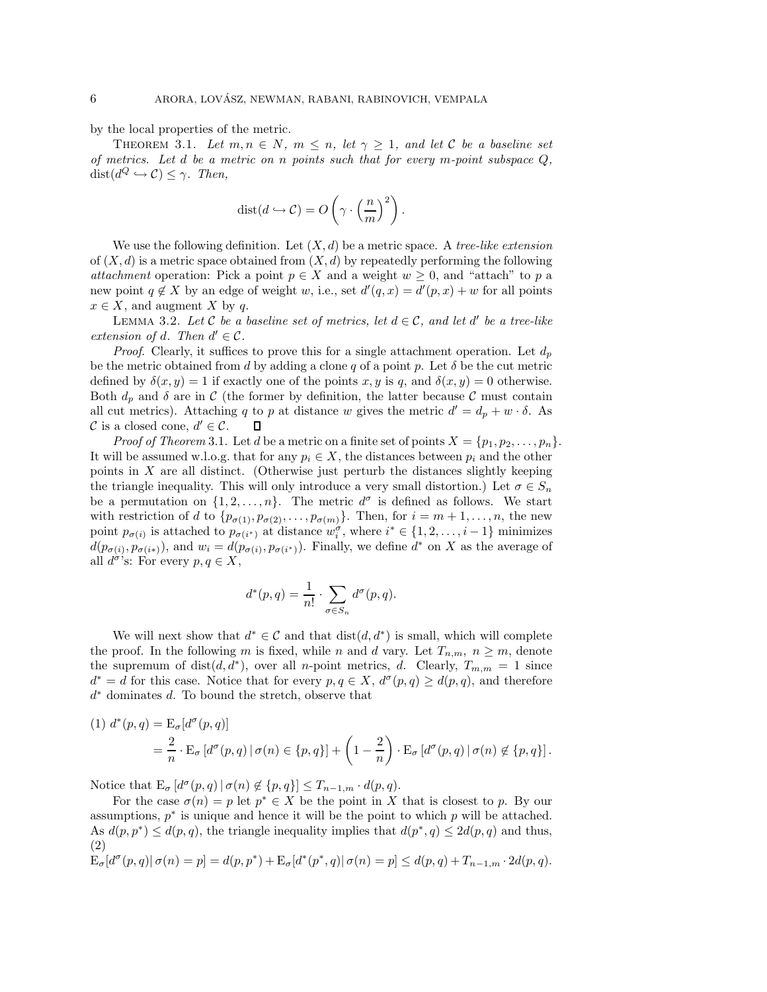by the local properties of the metric.

THEOREM 3.1. Let  $m, n \in N$ ,  $m \leq n$ , let  $\gamma \geq 1$ , and let C be a baseline set *of metrics. Let* d *be a metric on* n *points such that for every* m*-point subspace* Q*,*  $dist(d^Q \hookrightarrow \mathcal{C}) \leq \gamma$ . *Then,* 

$$
dist(d \hookrightarrow C) = O\left(\gamma \cdot \left(\frac{n}{m}\right)^2\right).
$$

We use the following definition. Let  $(X, d)$  be a metric space. A *tree-like extension* of  $(X, d)$  is a metric space obtained from  $(X, d)$  by repeatedly performing the following *attachment* operation: Pick a point  $p \in X$  and a weight  $w \geq 0$ , and "attach" to p a new point  $q \notin X$  by an edge of weight w, i.e., set  $d'(q, x) = d'(p, x) + w$  for all points  $x \in X$ , and augment X by q.

LEMMA 3.2. Let C be a baseline set of metrics, let  $d \in \mathcal{C}$ , and let d' be a tree-like *extension of d. Then*  $d' \in \mathcal{C}$ *.* 

*Proof.* Clearly, it suffices to prove this for a single attachment operation. Let  $d_p$ be the metric obtained from d by adding a clone q of a point p. Let  $\delta$  be the cut metric defined by  $\delta(x, y) = 1$  if exactly one of the points x, y is q, and  $\delta(x, y) = 0$  otherwise. Both  $d_p$  and  $\delta$  are in C (the former by definition, the latter because C must contain all cut metrics). Attaching q to p at distance w gives the metric  $d' = d_p + w \cdot \delta$ . As C is a closed cone,  $d' \in \mathcal{C}$ .  $\Box$ 

*Proof of Theorem* 3.1. Let d be a metric on a finite set of points  $X = \{p_1, p_2, \ldots, p_n\}.$ It will be assumed w.l.o.g. that for any  $p_i \in X$ , the distances between  $p_i$  and the other points in X are all distinct. (Otherwise just perturb the distances slightly keeping the triangle inequality. This will only introduce a very small distortion.) Let  $\sigma \in S_n$ be a permutation on  $\{1, 2, ..., n\}$ . The metric  $d^{\sigma}$  is defined as follows. We start with restriction of d to  $\{p_{\sigma(1)}, p_{\sigma(2)}, \ldots, p_{\sigma(m)}\}$ . Then, for  $i = m + 1, \ldots, n$ , the new point  $p_{\sigma(i)}$  is attached to  $p_{\sigma(i^*)}$  at distance  $w_i^{\sigma}$ , where  $i^* \in \{1, 2, ..., i-1\}$  minimizes  $d(p_{\sigma(i)}, p_{\sigma(i*)})$ , and  $w_i = d(p_{\sigma(i)}, p_{\sigma(i*)})$ . Finally, we define  $d^*$  on X as the average of all  $d^{\sigma}$ 's: For every  $p, q \in X$ ,

$$
d^*(p,q) = \frac{1}{n!} \cdot \sum_{\sigma \in S_n} d^{\sigma}(p,q).
$$

We will next show that  $d^* \in \mathcal{C}$  and that  $dist(d, d^*)$  is small, which will complete the proof. In the following m is fixed, while n and d vary. Let  $T_{n,m}$ ,  $n \geq m$ , denote the supremum of dist $(d, d^*)$ , over all *n*-point metrics, d. Clearly,  $T_{m,m} = 1$  since  $d^* = d$  for this case. Notice that for every  $p, q \in X$ ,  $d^{\sigma}(p,q) \geq d(p,q)$ , and therefore  $d^*$  dominates  $d$ . To bound the stretch, observe that

(1) 
$$
d^*(p,q) = \mathcal{E}_{\sigma}[d^{\sigma}(p,q)]
$$
  
\n
$$
= \frac{2}{n} \cdot \mathcal{E}_{\sigma}[d^{\sigma}(p,q) | \sigma(n) \in \{p,q\}] + \left(1 - \frac{2}{n}\right) \cdot \mathcal{E}_{\sigma}[d^{\sigma}(p,q) | \sigma(n) \notin \{p,q\}].
$$

Notice that  $E_{\sigma} [d^{\sigma}(p,q) | \sigma(n) \notin \{p,q\}] \leq T_{n-1,m} \cdot d(p,q).$ 

For the case  $\sigma(n) = p$  let  $p^* \in X$  be the point in X that is closest to p. By our assumptions,  $p^*$  is unique and hence it will be the point to which p will be attached. As  $d(p, p^*) \leq d(p, q)$ , the triangle inequality implies that  $d(p^*, q) \leq 2d(p, q)$  and thus, (2)

$$
\mathrm{E}_{\sigma}[d^{\sigma}(p,q)|\,\sigma(n) = p] = d(p,p^*) + \mathrm{E}_{\sigma}[d^*(p^*,q)|\,\sigma(n) = p] \leq d(p,q) + T_{n-1,m} \cdot 2d(p,q).
$$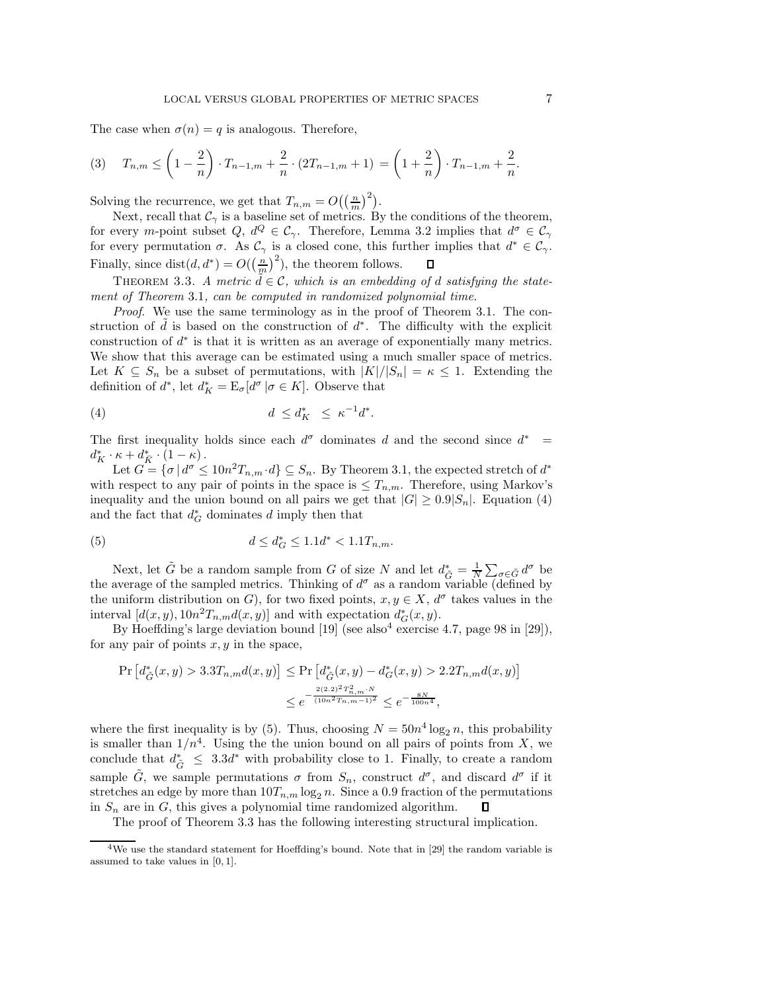The case when  $\sigma(n) = q$  is analogous. Therefore,

$$
(3) \quad T_{n,m} \le \left(1 - \frac{2}{n}\right) \cdot T_{n-1,m} + \frac{2}{n} \cdot (2T_{n-1,m} + 1) = \left(1 + \frac{2}{n}\right) \cdot T_{n-1,m} + \frac{2}{n}.
$$

Solving the recurrence, we get that  $T_{n,m} = O((\frac{n}{m})^2)$ .

Next, recall that  $\mathcal{C}_{\gamma}$  is a baseline set of metrics. By the conditions of the theorem, for every m-point subset  $Q, d^Q \in \mathcal{C}_{\gamma}$ . Therefore, Lemma 3.2 implies that  $d^{\sigma} \in \mathcal{C}_{\gamma}$ for every permutation  $\sigma$ . As  $\mathcal{C}_{\gamma}$  is a closed cone, this further implies that  $d^* \in \mathcal{C}_{\gamma}$ . Finally, since  $dist(d, d^*) = O(\left(\frac{n}{m}\right)^2)$ , the theorem follows.

THEOREM 3.3. *A metric*  $\widetilde{d} \in \mathcal{C}$ , which is an embedding of *d* satisfying the state*ment of Theorem* 3.1*, can be computed in randomized polynomial time.*

*Proof*. We use the same terminology as in the proof of Theorem 3.1. The construction of  $\tilde{d}$  is based on the construction of  $d^*$ . The difficulty with the explicit construction of  $d^*$  is that it is written as an average of exponentially many metrics. We show that this average can be estimated using a much smaller space of metrics. Let  $K \subseteq S_n$  be a subset of permutations, with  $|K|/|S_n| = \kappa \leq 1$ . Extending the definition of  $d^*$ , let  $d_K^* = \mathrm{E}_{\sigma}[d^{\sigma} | \sigma \in K]$ . Observe that

$$
(4) \t\t d \leq d_K^* \leq \kappa^{-1} d^*.
$$

The first inequality holds since each  $d^{\sigma}$  dominates d and the second since  $d^*$  $d_K^* \cdot \kappa + d_{\bar{K}}^* \cdot (1 - \kappa).$ <br>Let  $C = \lceil \frac{\kappa}{\sigma} \rceil \frac{d\sigma}{d\sigma}$ 

Let  $G = {\sigma | d^{\sigma} \leq 10n^2T_{n,m} \cdot d} \subseteq S_n$ . By Theorem 3.1, the expected stretch of  $d^*$ with respect to any pair of points in the space is  $\leq T_{n,m}$ . Therefore, using Markov's inequality and the union bound on all pairs we get that  $|G| \geq 0.9|S_n|$ . Equation (4) and the fact that  $d^*_{\mathcal{G}}$  dominates d imply then that

(5) 
$$
d \le d_G^* \le 1.1d^* < 1.1T_{n,m}.
$$

Next, let  $\tilde{G}$  be a random sample from G of size N and let  $d_{\tilde{G}}^* = \frac{1}{N} \sum_{\sigma \in \tilde{G}} d^{\sigma}$  be the average of the sampled metrics. Thinking of  $d^{\sigma}$  as a random variable (defined by the uniform distribution on G), for two fixed points,  $x, y \in X$ ,  $d^{\sigma}$  takes values in the interval  $[d(x, y), 10n^2T_{n,m}d(x, y)]$  and with expectation  $d^*_{G}(x, y)$ .

By Hoeffding's large deviation bound [19] (see also<sup>4</sup> exercise 4.7, page 98 in [29]), for any pair of points  $x, y$  in the space,

$$
\Pr\left[d_{\tilde{G}}^{*}(x,y) > 3.3T_{n,m}d(x,y)\right] \le \Pr\left[d_{\tilde{G}}^{*}(x,y) - d_{G}^{*}(x,y) > 2.2T_{n,m}d(x,y)\right]
$$
  

$$
\le e^{-\frac{2(2.2)^{2}T_{n,m}^{2} \cdot N}{(10n^{2}T_{n,m}-1)^{2}}} \le e^{-\frac{8N}{100n^{4}}},
$$

where the first inequality is by (5). Thus, choosing  $N = 50n^4 \log_2 n$ , this probability is smaller than  $1/n^4$ . Using the the union bound on all pairs of points from X, we conclude that  $d^*_{\tilde{G}} \leq 3.3d^*$  with probability close to 1. Finally, to create a random sample  $\tilde{G}$ , we sample permutations  $\sigma$  from  $S_n$ , construct  $d^{\sigma}$ , and discard  $d^{\sigma}$  if it stretches an edge by more than  $10T_{n,m} \log_2 n$ . Since a 0.9 fraction of the permutations<br>in  $S_n$  are in  $G_n$  this gives a polynomial time randomized algorithm. in  $S_n$  are in G, this gives a polynomial time randomized algorithm.

The proof of Theorem 3.3 has the following interesting structural implication.

<sup>&</sup>lt;sup>4</sup>We use the standard statement for Hoeffding's bound. Note that in [29] the random variable is assumed to take values in [0, 1].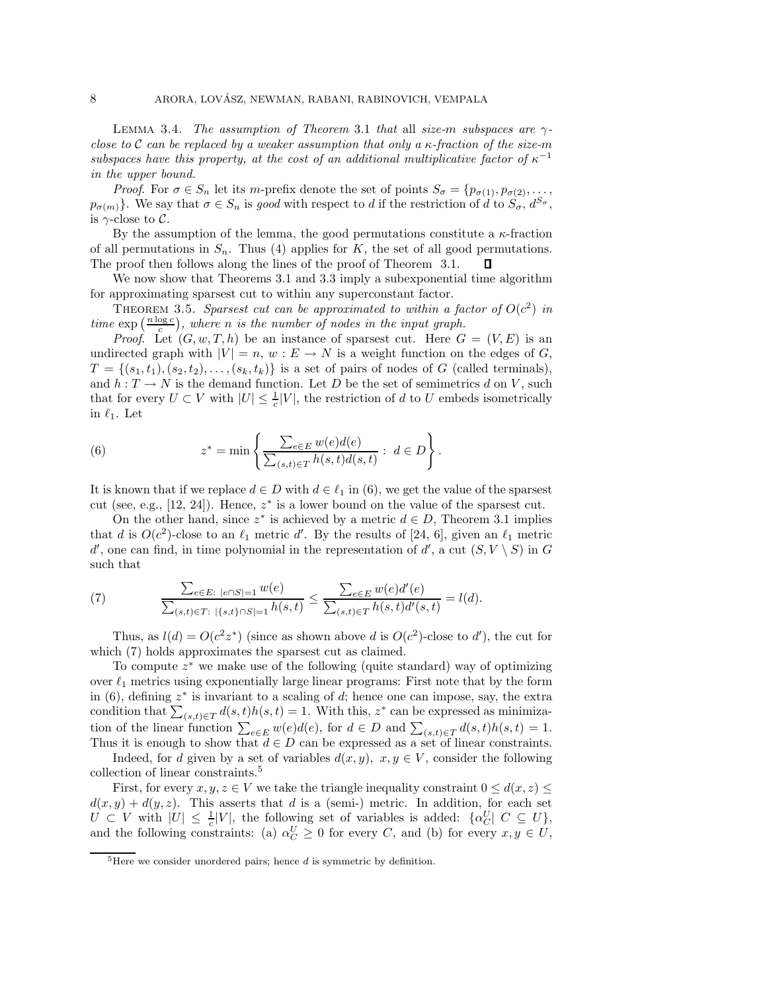LEMMA 3.4. *The assumption of Theorem* 3.1 *that* all *size-m subspaces are*  $\gamma$ *close to* C *can be replaced by a weaker assumption that only a* κ*-fraction of the size-*m *subspaces have this property, at the cost of an additional multiplicative factor of*  $\kappa^{-1}$ *in the upper bound.*

*Proof.* For  $\sigma \in S_n$  let its m-prefix denote the set of points  $S_{\sigma} = \{p_{\sigma(1)}, p_{\sigma(2)}, \ldots, p_{\sigma(n)}\}$  $p_{\sigma(m)}$ . We say that  $\sigma \in S_n$  is good with respect to d if the restriction of d to  $S_{\sigma}, d^{S_{\sigma}},$ is  $\gamma$ -close to  $\mathcal{C}$ .

By the assumption of the lemma, the good permutations constitute a  $\kappa$ -fraction of all permutations in  $S_n$ . Thus (4) applies for K, the set of all good permutations. The proof then follows along the lines of the proof of Theorem 3.1.

We now show that Theorems 3.1 and 3.3 imply a subexponential time algorithm for approximating sparsest cut to within any superconstant factor.

THEOREM 3.5. *Sparsest cut can be approximated to within a factor of*  $O(c^2)$  *in*  $time \exp\left(\frac{n \log c}{c}\right)$ , where *n* is the number of nodes in the input graph.

*Proof.* Let  $(G, w, T, h)$  be an instance of sparsest cut. Here  $G = (V, E)$  is an undirected graph with  $|V| = n$ ,  $w : E \to N$  is a weight function on the edges of G,  $T = \{(s_1, t_1), (s_2, t_2), \ldots, (s_k, t_k)\}\$ is a set of pairs of nodes of G (called terminals), and  $h: T \to N$  is the demand function. Let D be the set of semimetrics d on V, such that for every  $U \subset V$  with  $|U| \leq \frac{1}{c}|V|$ , the restriction of d to U embeds isometrically in  $\ell_1$ . Let

(6) 
$$
z^* = \min \left\{ \frac{\sum_{e \in E} w(e) d(e)}{\sum_{(s,t) \in T} h(s,t) d(s,t)} : d \in D \right\}.
$$

It is known that if we replace  $d \in D$  with  $d \in \ell_1$  in (6), we get the value of the sparsest cut (see, e.g., [12, 24]). Hence,  $z^*$  is a lower bound on the value of the sparsest cut.

On the other hand, since  $z^*$  is achieved by a metric  $d \in D$ , Theorem 3.1 implies that d is  $O(c^2)$ -close to an  $\ell_1$  metric d'. By the results of [24, 6], given an  $\ell_1$  metric d' and consider  $\ell_1$  and  $\ell_2$  and  $\ell_3$  and  $\ell_4$  and  $\ell_5$  in  $C$ d', one can find, in time polynomial in the representation of d', a cut  $(S, V \setminus S)$  in G such that

(7) 
$$
\frac{\sum_{e \in E: \; |e \cap S| = 1} w(e)}{\sum_{(s,t) \in T: \; |\{s,t\} \cap S| = 1} h(s,t)} \leq \frac{\sum_{e \in E} w(e)d'(e)}{\sum_{(s,t) \in T} h(s,t)d'(s,t)} = l(d).
$$

Thus, as  $l(d) = O(c^2 z^*)$  (since as shown above d is  $O(c^2)$ -close to d'), the cut for which (7) holds approximates the sparsest cut as claimed.

To compute  $z^*$  we make use of the following (quite standard) way of optimizing over  $\ell_1$  metrics using exponentially large linear programs: First note that by the form in (6), defining  $z^*$  is invariant to a scaling of d; hence one can impose, say, the extra condition that  $\sum_{(s,t)\in T} d(s,t)h(s,t) = 1$ . With this,  $z^*$  can be expressed as minimization of the linear function  $\sum_{e \in E} w(e) d(e)$ , for  $d \in D$  and  $\sum_{(s,t) \in T} d(s,t) h(s,t) = 1$ .<br>Thus it is enough to show that  $d \in D$  can be expressed as a set of linear constraints Thus it is enough to show that  $d \in D$  can be expressed as a set of linear constraints.

Indeed, for d given by a set of variables  $d(x, y)$ ,  $x, y \in V$ , consider the following collection of linear constraints.5

First, for every  $x, y, z \in V$  we take the triangle inequality constraint  $0 \leq d(x, z) \leq$  $d(x, y) + d(y, z)$ . This asserts that d is a (semi-) metric. In addition, for each set  $U \subset V$  with  $|U| \leq \frac{1}{c}|V|$ , the following set of variables is added:  $\{\alpha_C^U | C \subseteq U\},$ and the following constraints: (a)  $\alpha_C^U \geq 0$  for every C, and (b) for every  $x, y \in U$ ,

 $5$ Here we consider unordered pairs; hence  $d$  is symmetric by definition.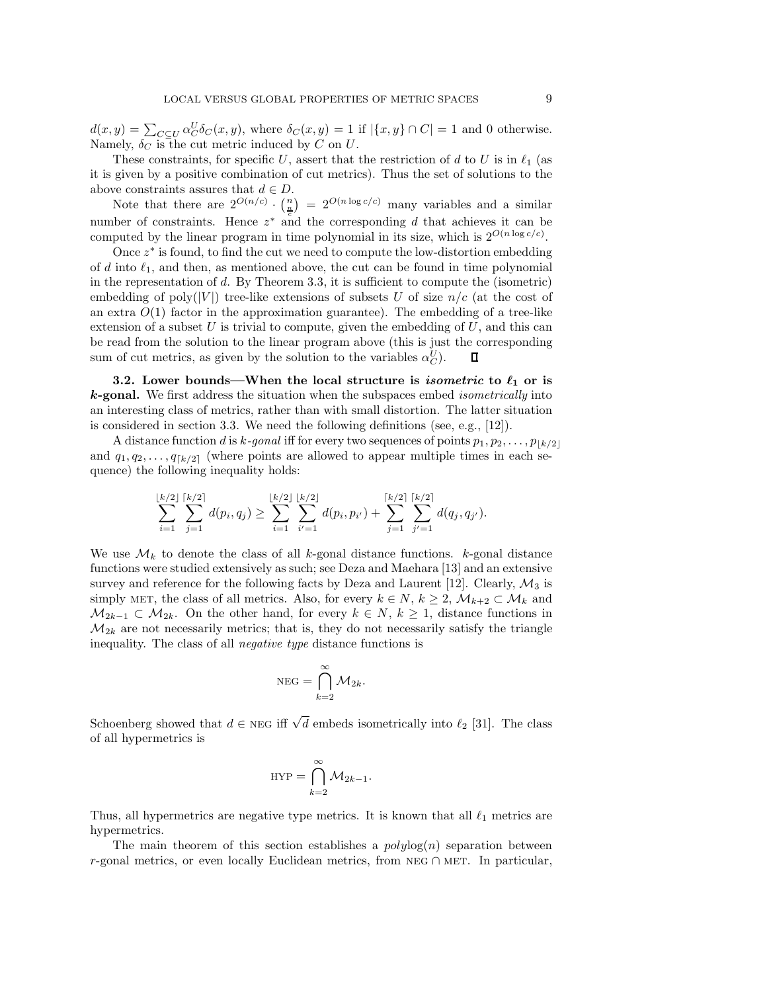$d(x,y) = \sum_{C \subseteq U} \alpha_C^U \delta_C(x,y)$ , where  $\delta_C(x,y) = 1$  if  $|\{x,y\} \cap C| = 1$  and 0 otherwise. Namely,  $\delta_C$  is the cut metric induced by C on U.

These constraints, for specific U, assert that the restriction of d to U is in  $\ell_1$  (as it is given by a positive combination of cut metrics). Thus the set of solutions to the above constraints assures that  $d \in D$ .

Note that there are  $2^{O(n/c)} \cdot \binom{n}{n} = 2^{O(n \log c/c)}$  many variables and a similar number of constraints. Hence  $z^*$  and the corresponding d that achieves it can be computed by the linear program in time polynomial in its size, which is  $2^{O(n \log c/c)}$ .

Once  $z^*$  is found, to find the cut we need to compute the low-distortion embedding of d into  $\ell_1$ , and then, as mentioned above, the cut can be found in time polynomial<br>in the representation of d. By Theorem 2.2, it is sufficient to compute the (isometric) in the representation of d. By Theorem 3.3, it is sufficient to compute the (isometric) embedding of poly(|V|) tree-like extensions of subsets U of size  $n/c$  (at the cost of an extra  $O(1)$  factor in the approximation guarantee). The embedding of a tree-like extension of a subset  $U$  is trivial to compute, given the embedding of  $U$ , and this can be read from the solution to the linear program above (this is just the corresponding sum of cut metrics, as given by the solution to the variables  $\alpha_C^U$ .

**3.2.** Lower bounds—When the local structure is *isometric* to  $\ell_1$  or is *k***-gonal.** We first address the situation when the subspaces embed *isometrically* into an interesting class of metrics, rather than with small distortion. The latter situation is considered in section 3.3. We need the following definitions (see, e.g., [12]).

A distance function d is k-gonal iff for every two sequences of points  $p_1, p_2, \ldots, p_{\lfloor k/2 \rfloor}$ and  $q_1, q_2, \ldots, q_{\lceil k/2 \rceil}$  (where points are allowed to appear multiple times in each sequence) the following inequality holds:

$$
\sum_{i=1}^{\lfloor k/2 \rfloor} \sum_{j=1}^{\lceil k/2 \rceil} d(p_i, q_j) \geq \sum_{i=1}^{\lfloor k/2 \rfloor} \sum_{i'=1}^{\lfloor k/2 \rfloor} d(p_i, p_{i'}) + \sum_{j=1}^{\lceil k/2 \rceil} \sum_{j'=1}^{\lceil k/2 \rceil} d(q_j, q_{j'}).
$$

We use  $\mathcal{M}_k$  to denote the class of all k-gonal distance functions. k-gonal distance functions were studied extensively as such; see Deza and Maehara [13] and an extensive survey and reference for the following facts by Deza and Laurent [12]. Clearly,  $\mathcal{M}_3$  is simply MET, the class of all metrics. Also, for every  $k \in N$ ,  $k \geq 2$ ,  $\mathcal{M}_{k+2} \subset \mathcal{M}_k$  and  $M_{2k-1} \subset M_{2k}$ . On the other hand, for every  $k \in N, k \ge 1$ , distance functions in  $\mathcal{M}_{2k}$  are not necessarily metrics; that is, they do not necessarily satisfy the triangle inequality. The class of all *negative type* distance functions is

$$
\mathrm{NEG} = \bigcap_{k=2}^{\infty} \mathcal{M}_{2k}.
$$

Schoenberg showed that  $d \in \text{NEG}$  iff  $\sqrt{d}$  embeds isometrically into  $\ell_2$  [31]. The class of all hypermetrics is

$$
HYP = \bigcap_{k=2}^{\infty} \mathcal{M}_{2k-1}.
$$

Thus, all hypermetrics are negative type metrics. It is known that all  $\ell_1$  metrics are hypermetries hypermetrics.

The main theorem of this section establishes a  $polylog(n)$  separation between r-gonal metrics, or even locally Euclidean metrics, from NEG  $\cap$  MET. In particular,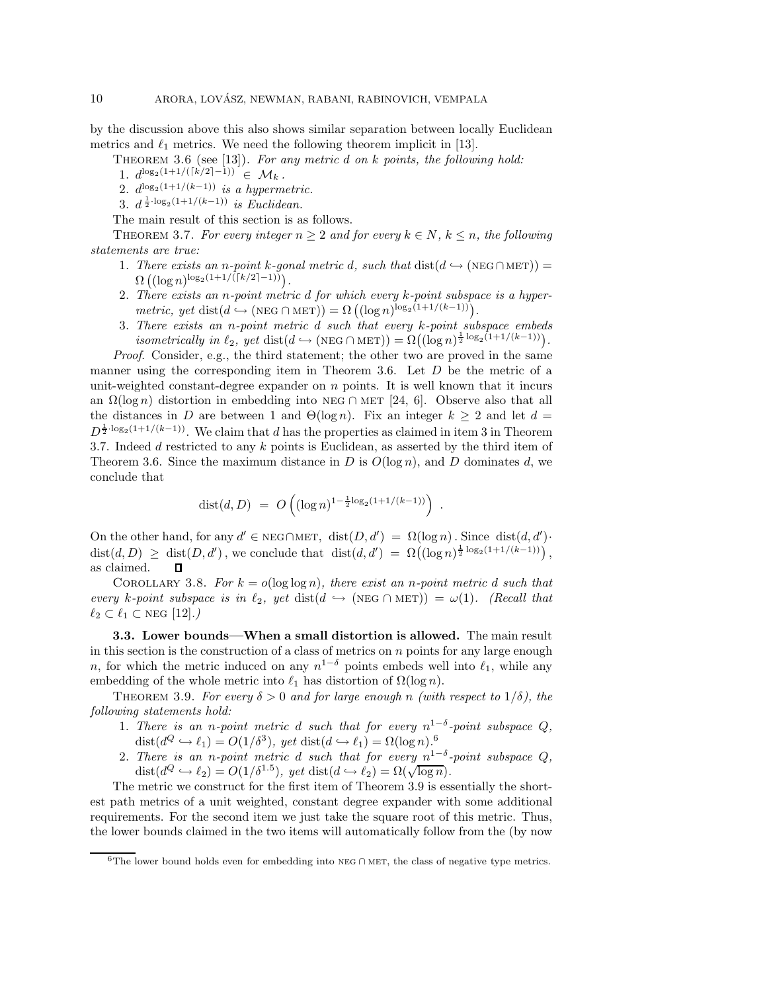by the discussion above this also shows similar separation between locally Euclidean metrics and  $\ell_1$  metrics. We need the following theorem implicit in [13].

Theorem 3.6 (see [13]). *For any metric* d *on* k *points, the following hold:* 1.  $d^{\log_2(1+1/(\lceil k/2 \rceil-1))} \in \mathcal{M}_k$ .

- 2.  $d_{2}^{\log_2(1+1/(k-1))}$  *is a hypermetric.*
- 3.  $d^{\frac{1}{2} \cdot \log_2(1+1/(k-1))}$  *is Euclidean.*

The main result of this section is as follows.

THEOREM 3.7. For every integer  $n \geq 2$  and for every  $k \in N$ ,  $k \leq n$ , the following *statements are true:*

- 1. *There exists an n-point k-gonal metric d, such that*  $dist(d \hookrightarrow (NEG\cap MET))$  =  $\Omega\left((\log n)^{\log_2\left(1+1/\tilde{\left(\lceil k/2 \rceil-1\right)}\right)}\right)$ .
- 2. *There exists an* n*-point metric* d *for which every* k*-point subspace is a hyper* $metric, yet \text{ dist}(d \rightarrow (\text{NEG} \cap \text{MET})) = \Omega((\log n)^{\log_2(1+1/(k-1))}).$
- 3. *There exists an* n*-point metric* d *such that every* k*-point subspace embeds isometrically in*  $\ell_2$ , yet dist( $d \hookrightarrow (\text{NEG} \cap \text{MET})) = \Omega((\log n)^{\frac{1}{2} \log_2(1+1/(k-1))})$ .

*Proof*. Consider, e.g., the third statement; the other two are proved in the same manner using the corresponding item in Theorem 3.6. Let  $D$  be the metric of a unit-weighted constant-degree expander on  $n$  points. It is well known that it incurs an  $\Omega(\log n)$  distortion in embedding into NEG ∩ MET [24, 6]. Observe also that all the distances in D are between 1 and  $\Theta(\log n)$ . Fix an integer  $k \geq 2$  and let  $d =$  $D^{\frac{1}{2}\cdot \log_2(1+1/(k-1))}$ . We claim that d has the properties as claimed in item 3 in Theorem 3.7. Indeed  $d$  restricted to any  $k$  points is Euclidean, as asserted by the third item of Theorem 3.6. Since the maximum distance in D is  $O(\log n)$ , and D dominates d, we conclude that

$$
dist(d, D) = O\left((\log n)^{1-\frac{1}{2}\log_2(1+1/(k-1))}\right).
$$

On the other hand, for any  $d' \in \text{NEG}\cap \text{MET}$ ,  $dist(D, d') = \Omega(\log n)$ . Since  $dist(d, d')$ .  $dist(d, D) \geq dist(D, d')$ , we conclude that  $dist(d, d') = \Omega((\log n)^{\frac{1}{2} \log_2(1 + 1/(k-1))})$ , as claimed. П

COROLLARY 3.8. For  $k = o(\log \log n)$ , there exist an *n*-point metric d such that  $every \; k\text{-point subspace is in } \ell_2, \; yet \; dist(d \leftrightarrow (NEG \cap MET)) = \omega(1).$  (Recall that  $\ell_2 \subset \ell_1 \subset \text{NEG} [12].$ 

**3.3. Lower bounds—When a small distortion is allowed.** The main result in this section is the construction of a class of metrics on  $n$  points for any large enough n, for which the metric induced on any  $n^{1-\delta}$  points embeds well into  $\ell_1$ , while any embedding of the whole metric into  $\ell_1$  beg distantion of  $O(\log n)$ . embedding of the whole metric into  $\ell_1$  has distortion of  $\Omega(\log n)$ .<br>THEOREM 2.0 For sum  $\delta > 0$  and for large spansh  $\alpha$  (with

THEOREM 3.9. *For every*  $\delta > 0$  *and for large enough* n *(with respect to*  $1/\delta$ *), the following statements hold:*

- 1. There is an n-point metric d such that for every  $n^{1-\delta}$ -point subspace Q,  $dist(d^Q \hookrightarrow \ell_1) = O(1/\delta^3)$ , yet  $dist(d \hookrightarrow \ell_1) = \Omega(\log n)$ .<sup>6</sup><br>There is an *n* naint matrix d such that for summaring
- 2. There is an *n*-point metric d such that for every  $n^{1-\delta}$ -point subspace  $Q$ , dist( $d^Q \hookrightarrow \ell_2$ ) =  $O(1/\delta^{1.5})$ , yet dist( $d \hookrightarrow \ell_2$ ) =  $\Omega(\sqrt{\log n})$ .

The metric we construct for the first item of Theorem 3.9 is essentially the shortest path metrics of a unit weighted, constant degree expander with some additional requirements. For the second item we just take the square root of this metric. Thus, the lower bounds claimed in the two items will automatically follow from the (by now

<sup>6</sup>The lower bound holds even for embedding into neg <sup>∩</sup> met, the class of negative type metrics.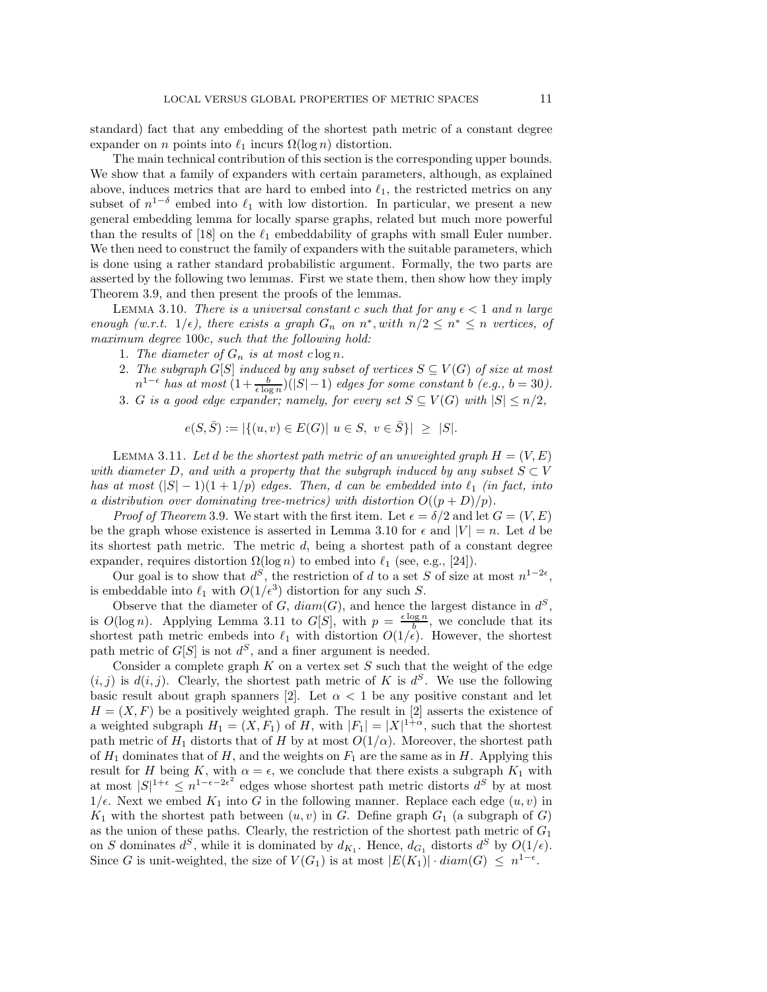standard) fact that any embedding of the shortest path metric of a constant degree expander on *n* points into  $\ell_1$  incurs  $\Omega(\log n)$  distortion.

The main technical contribution of this section is the corresponding upper bounds. We show that a family of expanders with certain parameters, although, as explained above, induces metrics that are hard to embed into  $\ell_1$ , the restricted metrics on any appear of  $n! = \ell$ , embed into  $\ell$ , with law distantion. In particular, we present a new subset of  $n^{1-\delta}$  embed into  $\ell_1$  with low distortion. In particular, we present a new general embedding lemma for locally sparse graphs, related but much more powerful than the results of [18] on the  $\ell_1$  embeddability of graphs with small Euler number.<br>We then read to construct the family of symon days with the suitable personators, which We then need to construct the family of expanders with the suitable parameters, which is done using a rather standard probabilistic argument. Formally, the two parts are asserted by the following two lemmas. First we state them, then show how they imply Theorem 3.9, and then present the proofs of the lemmas.

LEMMA 3.10. *There is a universal constant* c *such that for any*  $\epsilon < 1$  *and n large enough (w.r.t.*  $1/\epsilon$ ), there exists a graph  $G_n$  on  $n^*$ , with  $n/2 \leq n^* \leq n$  vertices, of *maximum degree* 100c*, such that the following hold:*

- 1. The diameter of  $G_n$  is at most  $c \log n$ .
- 2. *The subgraph*  $G[S]$  *induced by any subset of vertices*  $S \subseteq V(G)$  *of size at most*  $n^{1-\epsilon}$  has at most  $\left(1+\frac{b}{\epsilon \log n}\right)(|S|-1)$  *edges for some constant* b  $(e.g., b = 30)$ .
- 3. G is a good edge expander; namely, for every set  $S \subseteq V(G)$  with  $|S| \leq n/2$ ,

$$
e(S, \bar{S}) := |\{(u, v) \in E(G) | \ u \in S, \ v \in \bar{S}\}| \geq |S|.
$$

LEMMA 3.11. Let d be the shortest path metric of an unweighted graph  $H = (V, E)$ *with diameter* D, and with a property that the subgraph induced by any subset  $S \subset V$ *has at most*  $(|S| - 1)(1 + 1/p)$  *edges. Then, d can be embedded into*  $\ell_1$  *(in fact, into*  $\ell_2$  *distribution cum deminating tree matrice) with distribution*  $O((n + D)/n)$ *a distribution over dominating tree-metrics) with distortion*  $O((p+D)/p)$ *.* 

*Proof of Theorem* 3.9. We start with the first item. Let  $\epsilon = \delta/2$  and let  $G = (V, E)$ be the graph whose existence is asserted in Lemma 3.10 for  $\epsilon$  and  $|V| = n$ . Let d be its shortest path metric. The metric  $d$ , being a shortest path of a constant degree expander, requires distortion  $\Omega(\log n)$  to embed into  $\ell_1$  (see, e.g., [24]).

Our goal is to show that  $d^S$ , the restriction of d to a set S of size at most  $n^{1-2\epsilon}$ , is embeddable into  $\ell_1$  with  $O(1/\epsilon^3)$  distortion for any such S.<br>Channel between  $\epsilon$  of  $C$  diam(C) and hance the

Observe that the diameter of G,  $diam(G)$ , and hence the largest distance in  $d^S$ , is  $O(\log n)$ . Applying Lemma 3.11 to  $G[S],$  with  $p = \frac{\epsilon \log n}{b}$ , we conclude that its shortest path metric embeds into  $\ell_1$  with distortion  $O(1/\epsilon)$ . However, the shortest path metric of  $G[S]$  is not  $d^S$ , and a finer argument is needed.

Consider a complete graph  $K$  on a vertex set  $S$  such that the weight of the edge  $(i, j)$  is  $d(i, j)$ . Clearly, the shortest path metric of K is  $d^S$ . We use the following basic result about graph spanners [2]. Let  $\alpha < 1$  be any positive constant and let  $H = (X, F)$  be a positively weighted graph. The result in [2] asserts the existence of a weighted subgraph  $H_1 = (X, F_1)$  of H, with  $|F_1| = |X|^{1+\alpha}$ , such that the shortest path metric of  $H_1$  distorts that of H by at most  $O(1/\alpha)$ . Moreover, the shortest path of  $H_1$  dominates that of H, and the weights on  $F_1$  are the same as in H. Applying this result for H being K, with  $\alpha = \epsilon$ , we conclude that there exists a subgraph  $K_1$  with at most  $|S|^{1+\epsilon} \leq n^{1-\epsilon-2\epsilon^2}$  edges whose shortest path metric distorts  $d^S$  by at most  $1/\epsilon$ . Next we embed  $K_1$  into G in the following manner. Replace each edge  $(u, v)$  in  $K_1$  with the shortest path between  $(u, v)$  in G. Define graph  $G_1$  (a subgraph of G) as the union of these paths. Clearly, the restriction of the shortest path metric of  $G_1$ on S dominates  $d^S$ , while it is dominated by  $d_{K_1}$ . Hence,  $d_{G_1}$  distorts  $d^S$  by  $O(1/\epsilon)$ . Since G is unit-weighted, the size of  $V(G_1)$  is at most  $|E(K_1)| \cdot diam(G) \leq n^{1-\epsilon}$ .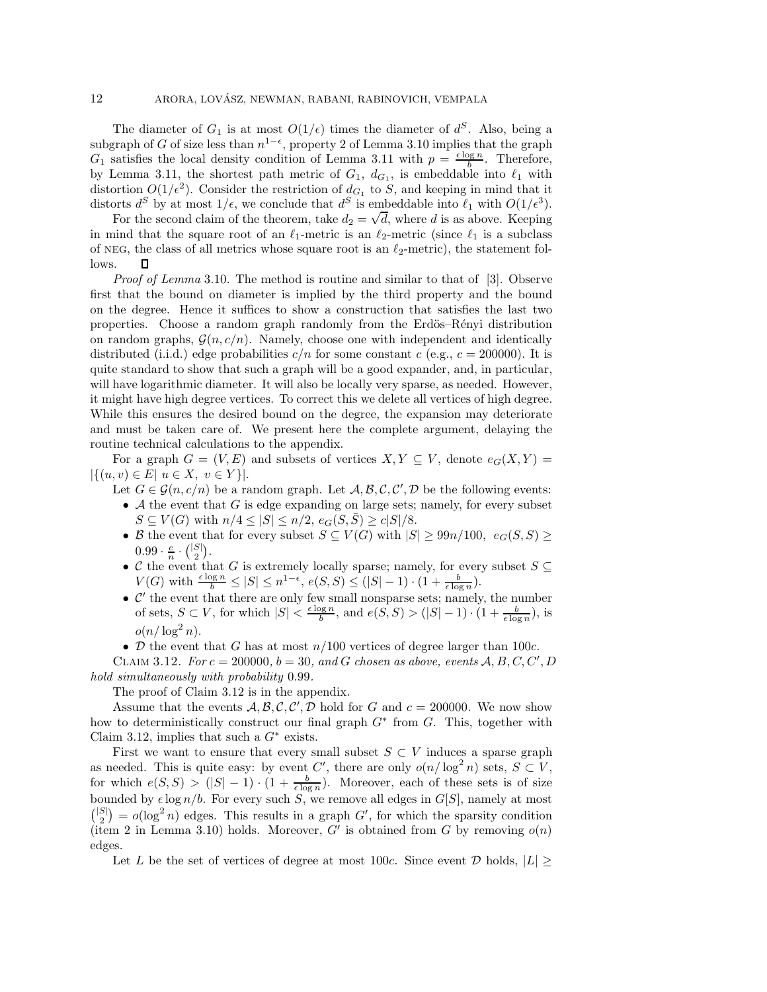The diameter of  $G_1$  is at most  $O(1/\epsilon)$  times the diameter of  $d^S$ . Also, being a subgraph of G of size less than  $n^{1-\epsilon}$ , property 2 of Lemma 3.10 implies that the graph  $G_1$  satisfies the local density condition of Lemma 3.11 with  $p = \frac{\epsilon \log n}{b}$ . Therefore, by Lemma 3.11, the shortest path metric of  $G_1$ ,  $d_{G_1}$ , is embeddable into  $\ell_1$  with distantion  $O(1/\epsilon^2)$ . Consider the particular of  $d_{\ell}$  to  $S$  and leaping in wind that it distortion  $O(1/\epsilon^2)$ . Consider the restriction of  $d_{G_1}$  to S, and keeping in mind that it distorts  $d^S$  by at most  $1/\epsilon$ , we conclude that  $d^S$  is embeddable into  $\ell_1$  with  $O(1/\epsilon^3)$ .

For the second claim of the theorem, take  $d_2 = \sqrt{d}$ , where d is as above. Keeping<br>For the second claim of the theorem, take  $d_2 = \sqrt{d}$ , where d is as above. Keeping in mind that the square root of an  $\ell_1$ -metric is an  $\ell_2$ -metric (since  $\ell_1$  is a subclass of NEG, the class of all metrics whose square root is an  $\ell_2$ -metric), the statement follows.  $\Box$ 

*Proof of Lemma* 3.10. The method is routine and similar to that of [3]. Observe first that the bound on diameter is implied by the third property and the bound on the degree. Hence it suffices to show a construction that satisfies the last two properties. Choose a random graph randomly from the Erdös–Rényi distribution on random graphs,  $\mathcal{G}(n, c/n)$ . Namely, choose one with independent and identically distributed (i.i.d.) edge probabilities  $c/n$  for some constant c (e.g.,  $c = 200000$ ). It is quite standard to show that such a graph will be a good expander, and, in particular, will have logarithmic diameter. It will also be locally very sparse, as needed. However, it might have high degree vertices. To correct this we delete all vertices of high degree. While this ensures the desired bound on the degree, the expansion may deteriorate and must be taken care of. We present here the complete argument, delaying the routine technical calculations to the appendix.

For a graph  $G = (V, E)$  and subsets of vertices  $X, Y \subseteq V$ , denote  $e_G(X, Y) =$  $|\{(u, v) \in E | u \in X, v \in Y\}|.$ 

- Let  $G \in \mathcal{G}(n, c/n)$  be a random graph. Let  $\mathcal{A}, \mathcal{B}, \mathcal{C}, \mathcal{C}', \mathcal{D}$  be the following events: • A the event that G is edge expanding on large sets; namely, for every subset  $S \subseteq V(G)$  with  $n/4 \leq |S| \leq n/2$ ,  $e_G(S, \overline{S}) \geq c|S|/8$ .
	- B the event that for every subset  $S \subseteq V(G)$  with  $|S| \geq 99n/100$ ,  $e_G(S, S) \geq$  $0.99 \cdot \frac{c}{n} \cdot {\binom{|S|}{2}}.$
	- C the event that G is extremely locally sparse; namely, for every subset  $S \subseteq$  $V(G)$  with  $\frac{\epsilon \log n}{b}$  ≤ |S| ≤ n<sup>1- $\epsilon$ </sup>,  $e(S, S)$  ≤ (|S| − 1) · (1 +  $\frac{b}{\epsilon \log n}$ ).<br>
	• C' the event that there are only few small nonsparse sets; namely, the number
	- of sets,  $S \subset V$ , for which  $|S| < \frac{\epsilon \log n}{b}$ , and  $e(S, S) > (|S| 1) \cdot (1 + \frac{b}{\epsilon \log n})$ , is  $o(n/\log^2 n).$
- D the event that G has at most  $n/100$  vertices of degree larger than 100c.

CLAIM 3.12. *For*  $c = 200000$ ,  $b = 30$ , and *G chosen as above, events*  $A, B, C, C', D$ *hold simultaneously with probability* 0.99*.*

The proof of Claim 3.12 is in the appendix.

Assume that the events  $A, B, C, C', D$  hold for G and  $c = 200000$ . We now show how to deterministically construct our final graph  $G^*$  from  $G$ . This, together with Claim 3.12, implies that such a  $G^*$  exists.

First we want to ensure that every small subset  $S \subset V$  induces a sparse graph as needed. This is quite easy: by event C', there are only  $o(n/\log^2 n)$  sets,  $S \subset V$ , for which  $e(S, S) > (|S| - 1) \cdot (1 + \frac{b}{\epsilon \log n})$ . Moreover, each of these sets is of size bounded by  $\epsilon \log n/b$ . For every such S, we remove all edges in  $G[S]$ , namely at most  $\binom{|S|}{2} = o(\log^2 n)$  edges. This results in a graph G', for which the sparsity condition (item 2 in Lemma 3.10) holds. Moreover,  $G'$  is obtained from G by removing  $o(n)$ edges.

Let L be the set of vertices of degree at most 100c. Since event D holds,  $|L| \ge$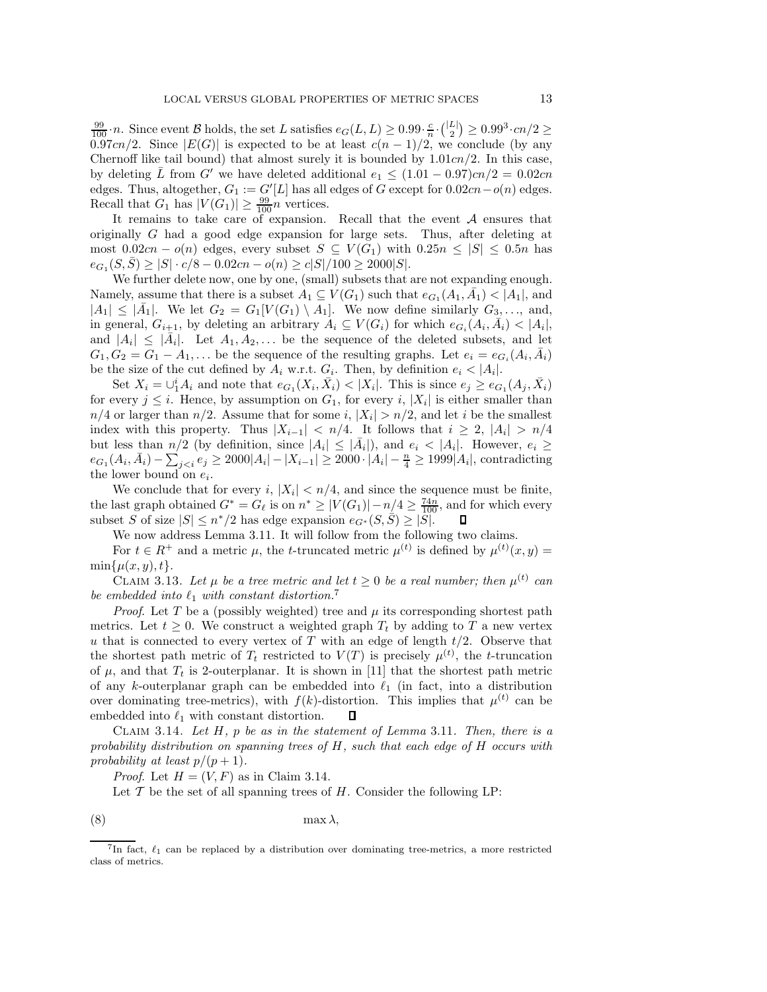$\frac{99}{100}$  *n*. Since event B holds, the set L satisfies  $e_G(L,L) \geq 0.99 \cdot \frac{c}{n} \cdot {L \choose 2} \geq 0.99^3 \cdot cn/2 \geq 0.97 \cdot cn/2$ <br>  $\frac{99}{100}$   $\cdot$  Since  $\frac{|E(G)|}{\sqrt{2}}$  is expected to be at least  $c(n-1)/2$  we conclude (by any 0.97cn/2. Since  $|E(G)|$  is expected to be at least  $c(n-1)/2$ , we conclude (by any Chernoff like tail bound) that almost surely it is bounded by  $1.01cn/2$ . In this case, by deleting L from G' we have deleted additional  $e_1 \leq (1.01 - 0.97)c_n/2 = 0.02cn$ edges. Thus, altogether,  $G_1 := G'[L]$  has all edges of G except for  $0.02cn-o(n)$  edges. Recall that  $G_1$  has  $|V(G_1)| \geq \frac{99}{100}n$  vertices.<br>It remains to take care of expansion

It remains to take care of expansion. Recall that the event  $A$  ensures that originally G had a good edge expansion for large sets. Thus, after deleting at most  $0.02cn - o(n)$  edges, every subset  $S \subseteq V(G_1)$  with  $0.25n \leq |S| \leq 0.5n$  has  $e_{G_1}(S,\overline{S}) \geq |S| \cdot c/8 - 0.02cn - o(n) \geq c|S|/100 \geq 2000|S|.$ 

We further delete now, one by one, (small) subsets that are not expanding enough. Namely, assume that there is a subset  $A_1 \subseteq V(G_1)$  such that  $e_{G_1}(A_1, \overline{A_1}) < |A_1|$ , and  $|A_1| \leq |\bar{A_1}|$ . We let  $G_2 = G_1[V(G_1) \setminus A_1]$ . We now define similarly  $G_3, \ldots$ , and, in general,  $G_{i+1}$ , by deleting an arbitrary  $A_i \subseteq V(G_i)$  for which  $e_{G_i}(A_i, \bar{A}_i) < |A_i|$ , and  $|A_i| \leq |A_i|$ . Let  $A_1, A_2,...$  be the sequence of the deleted subsets, and let  $G_1, G_2 = G_1 - A_1, \ldots$  be the sequence of the resulting graphs. Let  $e_i = e_{G_i}(A_i, \overline{A}_i)$ be the size of the cut defined by  $A_i$  w.r.t.  $G_i$ . Then, by definition  $e_i < |A_i|$ .

Set  $X_i = \bigcup_{i=1}^{i} A_i$  and note that  $e_{G_1}(X_i, \bar{X}_i) < |X_i|$ . This is since  $e_j \ge e_{G_1}(A_j, \bar{X}_i)$ for every  $j \leq i$ . Hence, by assumption on  $G_1$ , for every i,  $|X_i|$  is either smaller than  $n/4$  or larger than  $n/2$ . Assume that for some i,  $|X_i| > n/2$ , and let i be the smallest index with this property. Thus  $|X_{i-1}| < n/4$ . It follows that  $i \geq 2$ ,  $|A_i| > n/4$ but less than  $n/2$  (by definition, since  $|A_i| \leq |A_i|$ ), and  $e_i < |A_i|$ . However,  $e_i \geq$  $e_{G_1}(A_i, \bar{A}_i) - \sum_{j < i} e_j \ge 2000|A_i| - |X_{i-1}| \ge 2000 \cdot |A_i| - \frac{n}{4} \ge 1999|A_i|$ , contradicting the lower bound on  $e_i$ .

We conclude that for every i,  $|X_i| < n/4$ , and since the sequence must be finite, the last graph obtained  $G^* = G_\ell$  is on  $n^* \ge |V(G_1)| - n/4 \ge \frac{74n}{100}$ , and for which every subset S of size  $|S| \le n^*/2$  has edge expansion  $e_G(S, \overline{S}) > |S|$ subset S of size  $|S| \leq n^*/2$  has edge expansion  $e_{G^*}(S, \overline{S}) \geq |\overline{S}|$ .

We now address Lemma 3.11. It will follow from the following two claims.

For  $t \in R^+$  and a metric  $\mu$ , the *t*-truncated metric  $\mu^{(t)}$  is defined by  $\mu^{(t)}(x, y) =$  $\min\{\mu(x,y),t\}.$ 

CLAIM 3.13. Let  $\mu$  be a tree metric and let  $t \geq 0$  be a real number; then  $\mu^{(t)}$  can *be embedded into*  $\ell_1$  *with constant distortion.*<sup>7</sup><br>*Proof* Let  $T$  be a (possibly weighted) type

*Proof.* Let T be a (possibly weighted) tree and  $\mu$  its corresponding shortest path metrics. Let  $t \geq 0$ . We construct a weighted graph  $T_t$  by adding to T a new vertex u that is connected to every vertex of  $T$  with an edge of length  $t/2$ . Observe that the shortest path metric of  $T_t$  restricted to  $V(T)$  is precisely  $\mu^{(t)}$ , the t-truncation of  $\mu$ , and that  $T_t$  is 2-outerplanar. It is shown in [11] that the shortest path metric of any k-outerplanar graph can be embedded into  $\ell_1$  (in fact, into a distribution<br>curs deminating tree metrics) with  $f(h)$  distantion. This implies that  $u^{(t)}$  can be over dominating tree-metrics), with  $f(k)$ -distortion. This implies that  $\mu^{(t)}$  can be embedded into  $\ell_1$  with constant distortion. П

Claim 3.14. *Let* H*,* p *be as in the statement of Lemma* 3.11*. Then, there is a probability distribution on spanning trees of* H*, such that each edge of* H *occurs with probability at least*  $p/(p+1)$ *.* 

*Proof.* Let  $H = (V, F)$  as in Claim 3.14.

Let  $T$  be the set of all spanning trees of  $H$ . Consider the following LP:

$$
(8) \t\t \max \lambda,
$$

<sup>&</sup>lt;sup>7</sup>In fact,  $\ell_1$  can be replaced by a distribution over dominating tree-metrics, a more restricted class of metrics.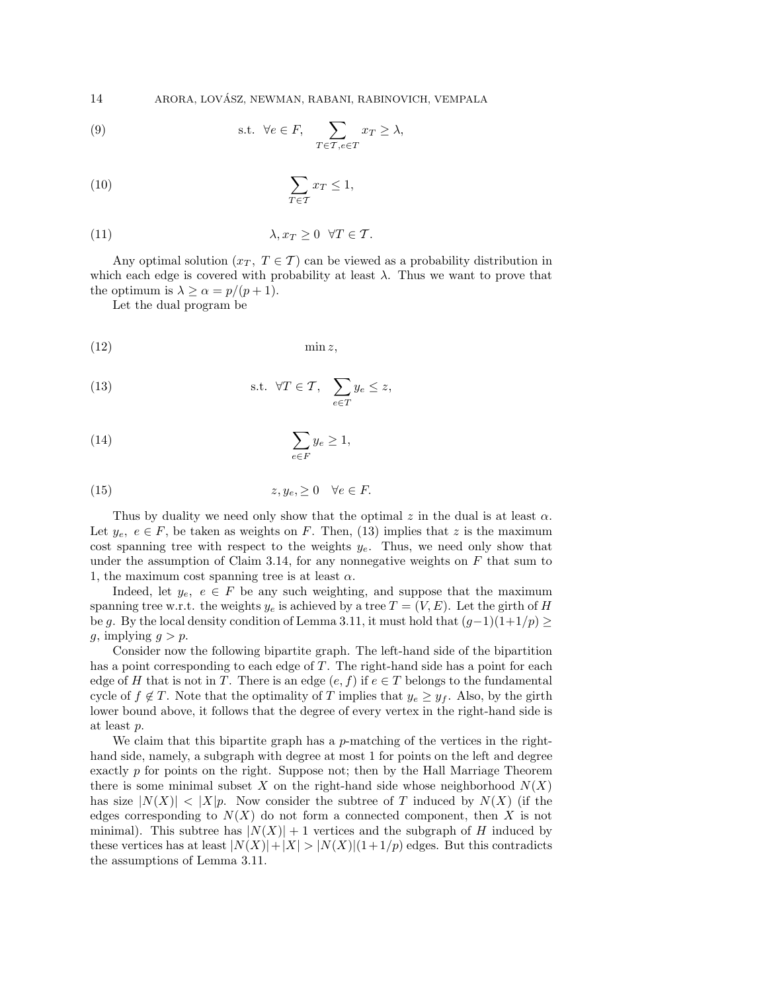14 ARORA, LOVASZ, NEWMAN, RABANI, RABINOVICH, VEMPALA ´

(9) s.t. 
$$
\forall e \in F
$$
,  $\sum_{T \in \mathcal{T}, e \in T} x_T \ge \lambda$ ,

$$
\sum_{T \in \mathcal{T}} x_T \le 1,
$$

(11) 
$$
\lambda, x_T \geq 0 \quad \forall T \in \mathcal{T}.
$$

Any optimal solution  $(x_T, T \in \mathcal{T})$  can be viewed as a probability distribution in which each edge is covered with probability at least  $\lambda$ . Thus we want to prove that the optimum is  $\lambda \geq \alpha = p/(p+1)$ .

Let the dual program be

$$
(12) \t\t min z,
$$

(13) s.t. 
$$
\forall T \in \mathcal{T}, \sum_{e \in T} y_e \leq z
$$
,

(14) 
$$
\sum_{e \in F} y_e \ge 1,
$$

(15) 
$$
z, y_e, \geq 0 \quad \forall e \in F.
$$

Thus by duality we need only show that the optimal z in the dual is at least  $\alpha$ . Let  $y_e, e \in F$ , be taken as weights on F. Then, (13) implies that z is the maximum cost spanning tree with respect to the weights  $y_e$ . Thus, we need only show that under the assumption of Claim 3.14, for any nonnegative weights on  $F$  that sum to 1, the maximum cost spanning tree is at least  $\alpha$ .

Indeed, let  $y_e, e \in F$  be any such weighting, and suppose that the maximum spanning tree w.r.t. the weights  $y_e$  is achieved by a tree  $T = (V, E)$ . Let the girth of H be g. By the local density condition of Lemma 3.11, it must hold that  $(q-1)(1+1/p) \ge$ q, implying  $q>p$ .

Consider now the following bipartite graph. The left-hand side of the bipartition has a point corresponding to each edge of  $T$ . The right-hand side has a point for each edge of H that is not in T. There is an edge  $(e, f)$  if  $e \in T$  belongs to the fundamental cycle of  $f \notin T$ . Note that the optimality of T implies that  $y_e \geq y_f$ . Also, by the girth lower bound above, it follows that the degree of every vertex in the right-hand side is at least p.

We claim that this bipartite graph has a p-matching of the vertices in the righthand side, namely, a subgraph with degree at most 1 for points on the left and degree exactly p for points on the right. Suppose not; then by the Hall Marriage Theorem there is some minimal subset X on the right-hand side whose neighborhood  $N(X)$ has size  $|N(X)| < |X|p$ . Now consider the subtree of T induced by  $N(X)$  (if the edges corresponding to  $N(X)$  do not form a connected component, then X is not minimal). This subtree has  $|N(X)| + 1$  vertices and the subgraph of H induced by these vertices has at least  $|N(X)|+|X|>|N(X)|(1+1/p)$  edges. But this contradicts the assumptions of Lemma 3.11.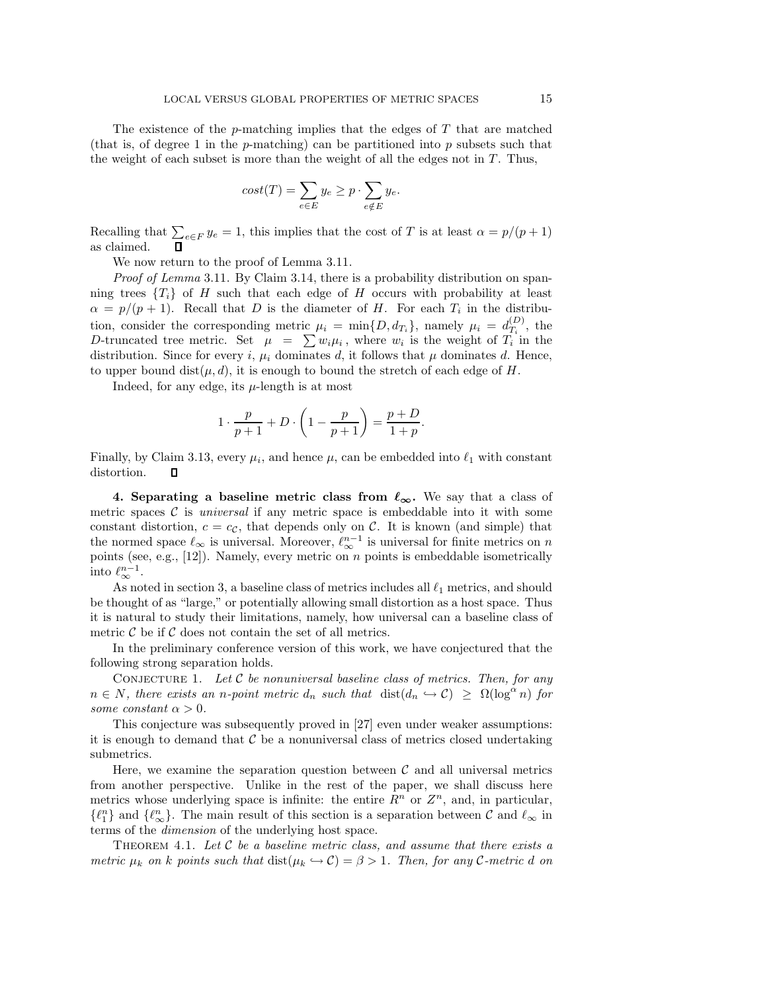The existence of the  $p$ -matching implies that the edges of  $T$  that are matched (that is, of degree 1 in the  $p$ -matching) can be partitioned into  $p$  subsets such that the weight of each subset is more than the weight of all the edges not in  $T$ . Thus,

$$
cost(T) = \sum_{e \in E} y_e \ge p \cdot \sum_{e \notin E} y_e.
$$

Recalling that  $\sum_{e \in F} y_e = 1$ , this implies that the cost of T is at least  $\alpha = p/(p+1)$ as claimed.

We now return to the proof of Lemma 3.11.

*Proof of Lemma* 3.11. By Claim 3.14, there is a probability distribution on spanning trees  $\{T_i\}$  of H such that each edge of H occurs with probability at least  $\alpha = p/(p+1)$ . Recall that D is the diameter of H. For each  $T_i$  in the distribution, consider the corresponding metric  $\mu_i = \min\{D, d_{T_i}\}\text{, namely } \mu_i = d_{T_i}^{(D)}\text{, the}$ D-truncated tree metric. Set  $\mu = \sum w_i \mu_i$ , where  $w_i$  is the weight of  $T_i$  in the distribution. Since for every i,  $\mu_i$  dominates d, it follows that  $\mu$  dominates d. Hence, to upper bound  $dist(\mu, d)$ , it is enough to bound the stretch of each edge of H.

Indeed, for any edge, its  $\mu$ -length is at most

$$
1 \cdot \frac{p}{p+1} + D \cdot \left(1 - \frac{p}{p+1}\right) = \frac{p+D}{1+p}.
$$

Finally, by Claim 3.13, every  $\mu_i$ , and hence  $\mu$ , can be embedded into  $\ell_1$  with constant distortion. О

**4.** Separating a baseline metric class from  $\ell_{\infty}$ . We say that a class of metric spaces  $\mathcal C$  is *universal* if any metric space is embeddable into it with some constant distortion,  $c = c_{\mathcal{C}}$ , that depends only on  $\mathcal{C}$ . It is known (and simple) that the normed space  $\ell_{\infty}$  is universal. Moreover,  $\ell_{\infty}^{n-1}$  is universal for finite metrics on n points (see, e.g.,  $[12]$ ). Namely, every metric on  $n$  points is embeddable isometrically into  $\ell_{\infty}^{n-1}$ .

As noted in section 3, a baseline class of metrics includes all  $\ell_1$  metrics, and should be thought of as "large," or potentially allowing small distortion as a host space. Thus it is natural to study their limitations, namely, how universal can a baseline class of metric  $C$  be if  $C$  does not contain the set of all metrics.

In the preliminary conference version of this work, we have conjectured that the following strong separation holds.

Conjecture 1. *Let* C *be nonuniversal baseline class of metrics. Then, for any*  $n \in N$ , there exists an *n*-point metric  $d_n$  such that  $dist(d_n \hookrightarrow C) \geq \Omega(\log^\alpha n)$  for *some constant*  $\alpha > 0$ *.* 

This conjecture was subsequently proved in [27] even under weaker assumptions: it is enough to demand that  $C$  be a nonuniversal class of metrics closed undertaking submetrics.

Here, we examine the separation question between  $\mathcal C$  and all universal metrics from another perspective. Unlike in the rest of the paper, we shall discuss here metrics whose underlying space is infinite: the entire  $R^n$  or  $Z^n$ , and, in particular,  $\{\ell_1^n\}$  and  $\{\ell_\infty^n\}$ . The main result of this section is a separation between C and  $\ell_\infty$  in terms of the *dimension* of the underlying hest space. terms of the *dimension* of the underlying host space.

Theorem 4.1. *Let* C *be a baseline metric class, and assume that there exists a metric*  $\mu_k$  *on* k points such that  $dist(\mu_k \hookrightarrow C) = \beta > 1$ . Then, for any C-metric d on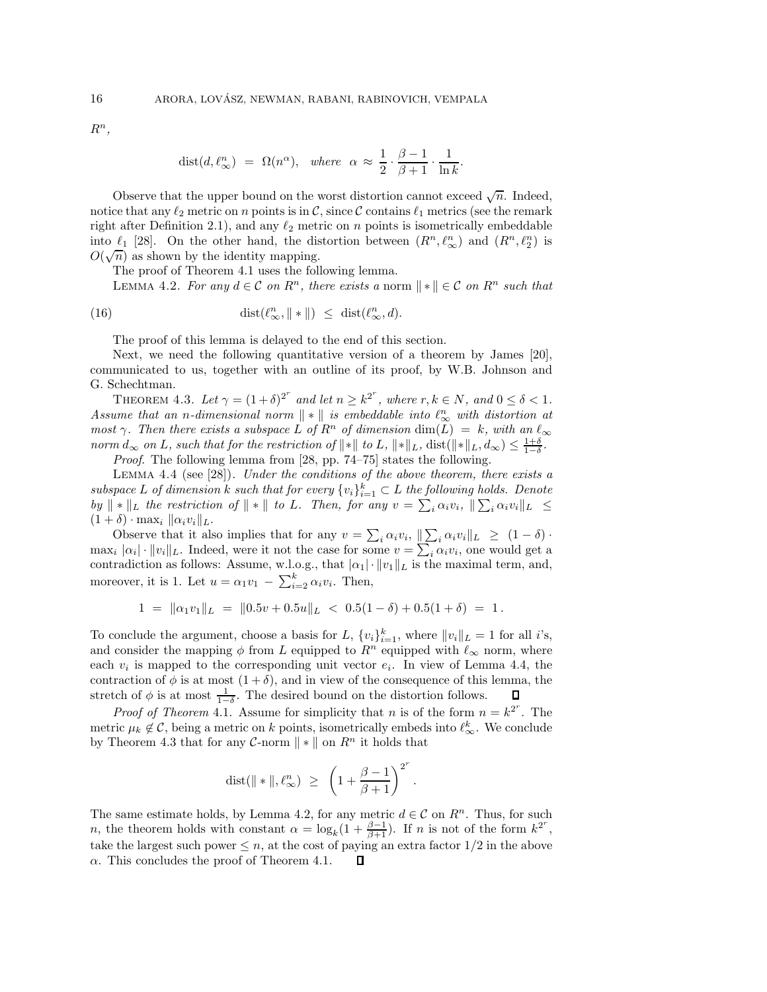$R^n$ ,

$$
dist(d, \ell_{\infty}^n) = \Omega(n^{\alpha}), \text{ where } \alpha \approx \frac{1}{2} \cdot \frac{\beta - 1}{\beta + 1} \cdot \frac{1}{\ln k}
$$

.

Observe that the upper bound on the worst distortion cannot exceed  $\sqrt{n}$ . Indeed, notice that any  $\ell_2$  metric on n points is in C, since C contains  $\ell_1$  metrics (see the remark right after Definition 2.1), and any  $\ell_2$  metric on *n* points is isometrically embeddable<br>inte  $\ell_1$  [28]. On the other hand, the distortion between  $(D^n, \ell^n)$  and  $(D^n, \ell^n)$  is into  $\ell_1$  [28]. On the other hand, the distortion between  $(R^n, \ell_\infty^n)$  and  $(R^n, \ell_2^n)$  is  $O(\sqrt{n})$  as shown by the identity mapping.

The proof of Theorem 4.1 uses the following lemma.

LEMMA 4.2. *For any*  $d \in \mathcal{C}$  *on*  $R^n$ *, there exists a* norm  $\|\cdot\| \in \mathcal{C}$  *on*  $R^n$  *such that* 

(16) 
$$
\operatorname{dist}(\ell_{\infty}^n, \|\ast\|) \leq \operatorname{dist}(\ell_{\infty}^n, d).
$$

The proof of this lemma is delayed to the end of this section.

Next, we need the following quantitative version of a theorem by James [20], communicated to us, together with an outline of its proof, by W.B. Johnson and G. Schechtman.

THEOREM 4.3. Let  $\gamma = (1+\delta)^{2^r}$  and let  $n \geq k^{2^r}$ , where  $r, k \in N$ , and  $0 \leq \delta < 1$ . *Assume that an n-dimensional norm*  $\|\cdot\|$  *is embeddable into*  $\ell_{\infty}^{n}$  with distortion at *most*  $\gamma$ . Then there exists a subspace  $\vec{L}$  of  $\vec{R}^n$  of dimension  $\dim(\widetilde{L}) = k$ , with an  $\ell_{\infty}$ *norm*  $d_{\infty}$  *on L*, such that for the restriction of  $\|\cdot\|$  to *L*,  $\|\cdot\|_L$ , dist( $\|\cdot\|_L$ ,  $d_{\infty}$ )  $\leq \frac{1+\delta}{1-\delta}$ .<br>*Proof* The following lemma from [28, pp. 74–75] states the following

*Proof*. The following lemma from [28, pp. 74–75] states the following.

Lemma 4.4 (see [28]). *Under the conditions of the above theorem, there exists a subspace* L of dimension k such that for every  $\{v_i\}_{i=1}^k \subset L$  the following holds. Denote  $by \parallel * \parallel_L$  the restriction of  $\parallel * \parallel$  to L. Then, for any  $v = \sum_i \alpha_i v_i, \parallel \sum_i \alpha_i v_i \parallel_L \leq$  $(1 + \delta) \cdot \max_i ||\alpha_i v_i||_L.$ 

Observe that it also implies that for any  $v = \sum_i \alpha_i v_i, \| \sum_i \alpha_i v_i \|_{L} \geq (1 - \delta)$ .  $\max_i |\alpha_i| \cdot ||v_i||_L$ . Indeed, were it not the case for some  $v = \sum_i \alpha_i v_i$ , one would get a contradiction as follows: Assume, w.l.o.g., that  $|\alpha_1| \cdot ||v_1||_L$  is the maximal term, and, moreover, it is 1. Let  $u = \alpha_1 v_1 - \sum_{i=2}^{k} \alpha_i v_i$ . Then,

$$
1 = \|\alpha_1 v_1\|_L = \|0.5v + 0.5u\|_L < 0.5(1 - \delta) + 0.5(1 + \delta) = 1.
$$

To conclude the argument, choose a basis for L,  $\{v_i\}_{i=1}^k$ , where  $||v_i||_L = 1$  for all *i*'s, and consider the mapping  $\phi$  from L equipped to  $R^n$  equipped with  $\ell_{\infty}$  norm, where each  $v_i$  is mapped to the corresponding unit vector  $e_i$ . In view of Lemma 4.4, the contraction of  $\phi$  is at most  $(1 + \delta)$ , and in view of the consequence of this lemma, the stretch of  $\phi$  is at most  $\frac{1}{1-\delta}$ . The desired bound on the distortion follows.  $\Box$ 

*Proof of Theorem* 4.1. Assume for simplicity that *n* is of the form  $n = k^{2^r}$ . The metric  $\mu_k \notin \mathcal{C}$ , being a metric on k points, isometrically embeds into  $\ell_{\infty}^k$ . We conclude by Theorem 4.3 that for any  $C$ -norm  $|| * ||$  on  $R<sup>n</sup>$  it holds that

$$
\text{dist}(\|\ast\|, \ell_\infty^n)~\ge~\left(1+\frac{\beta-1}{\beta+1}\right)^{2^r}.
$$

The same estimate holds, by Lemma 4.2, for any metric  $d \in \mathcal{C}$  on  $R^n$ . Thus, for such n, the theorem holds with constant  $\alpha = \log_k(1 + \frac{\beta - 1}{\beta + 1})$ . If n is not of the form  $k^{2^r}$ , take the largest such power  $\leq n$ , at the cost of paying an extra factor  $1/2$  in the above  $\alpha$ . This concludes the proof of Theorem 4.1. П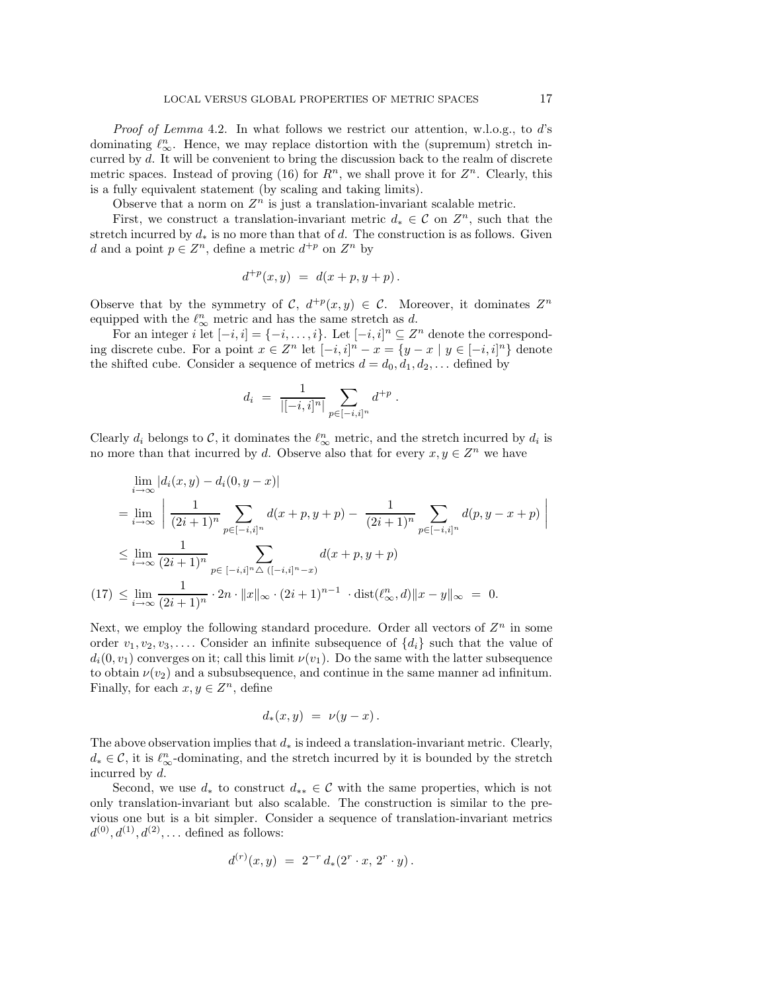*Proof of Lemma* 4.2. In what follows we restrict our attention, w.l.o.g., to d's dominating  $\ell_{\infty}^{n}$ . Hence, we may replace distortion with the (supremum) stretch incurred by d. It will be convenient to bring the discussion back to the realm of discrete metric spaces. Instead of proving (16) for  $R^n$ , we shall prove it for  $Z^n$ . Clearly, this is a fully equivalent statement (by scaling and taking limits).

Observe that a norm on  $Z<sup>n</sup>$  is just a translation-invariant scalable metric.

First, we construct a translation-invariant metric  $d_* \in \mathcal{C}$  on  $\mathbb{Z}^n$ , such that the stretch incurred by  $d_*$  is no more than that of d. The construction is as follows. Given d and a point  $p \in \mathbb{Z}^n$ , define a metric  $d^{+p}$  on  $\mathbb{Z}^n$  by

$$
d^{+p}(x,y) = d(x+p, y+p).
$$

Observe that by the symmetry of C,  $d^{+p}(x, y) \in C$ . Moreover, it dominates  $Z^n$ equipped with the  $\ell_{\infty}^n$  metric and has the same stretch as d.

For an integer i let  $[-i, i] = \{-i, \ldots, i\}$ . Let  $[-i, i]^n \subseteq \mathbb{Z}^n$  denote the corresponding discrete cube. For a point  $x \in \mathbb{Z}^n$  let  $[-i, i]^n - x = \{y - x \mid y \in [-i, i]^n\}$  denote the shifted cube. Consider a sequence of metrics  $d = d_0, d_1, d_2, \ldots$  defined by

$$
d_i = \frac{1}{|[-i,i]^n|} \sum_{p \in [-i,i]^n} d^{+p}.
$$

Clearly  $d_i$  belongs to  $\mathcal{C}$ , it dominates the  $\ell_{\infty}^n$  metric, and the stretch incurred by  $d_i$  is no more than that incurred by d. Observe also that for every  $x, y \in \mathbb{Z}^n$  we have

$$
\lim_{i \to \infty} |d_i(x, y) - d_i(0, y - x)|
$$
\n
$$
= \lim_{i \to \infty} \left| \frac{1}{(2i+1)^n} \sum_{p \in [-i,i]^n} d(x + p, y + p) - \frac{1}{(2i+1)^n} \sum_{p \in [-i,i]^n} d(p, y - x + p) \right|
$$
\n
$$
\leq \lim_{i \to \infty} \frac{1}{(2i+1)^n} \sum_{p \in [-i,i]^n} \Delta((-i,i]^{n} - x)
$$
\n
$$
(17) \leq \lim_{i \to \infty} \frac{1}{(2i+1)^n} \cdot 2n \cdot ||x||_{\infty} \cdot (2i+1)^{n-1} \cdot \text{dist}(\ell_{\infty}^n, d) ||x - y||_{\infty} = 0.
$$

Next, we employ the following standard procedure. Order all vectors of  $Z<sup>n</sup>$  in some order  $v_1, v_2, v_3, \ldots$  Consider an infinite subsequence of  $\{d_i\}$  such that the value of  $d_i(0, v_1)$  converges on it; call this limit  $\nu(v_1)$ . Do the same with the latter subsequence to obtain  $\nu(v_2)$  and a subsubsequence, and continue in the same manner ad infinitum. Finally, for each  $x, y \in \mathbb{Z}^n$ , define

$$
d_*(x,y) = \nu(y-x).
$$

The above observation implies that  $d_*$  is indeed a translation-invariant metric. Clearly,  $d_* \in \mathcal{C}$ , it is  $\ell_{\infty}^n$ -dominating, and the stretch incurred by it is bounded by the stretch incurred by d.

Second, we use  $d_*$  to construct  $d_{**} \in \mathcal{C}$  with the same properties, which is not only translation-invariant but also scalable. The construction is similar to the previous one but is a bit simpler. Consider a sequence of translation-invariant metrics  $d^{(0)}, d^{(1)}, d^{(2)}, \ldots$  defined as follows:

$$
d^{(r)}(x,y) = 2^{-r} d_*(2^r \cdot x, 2^r \cdot y).
$$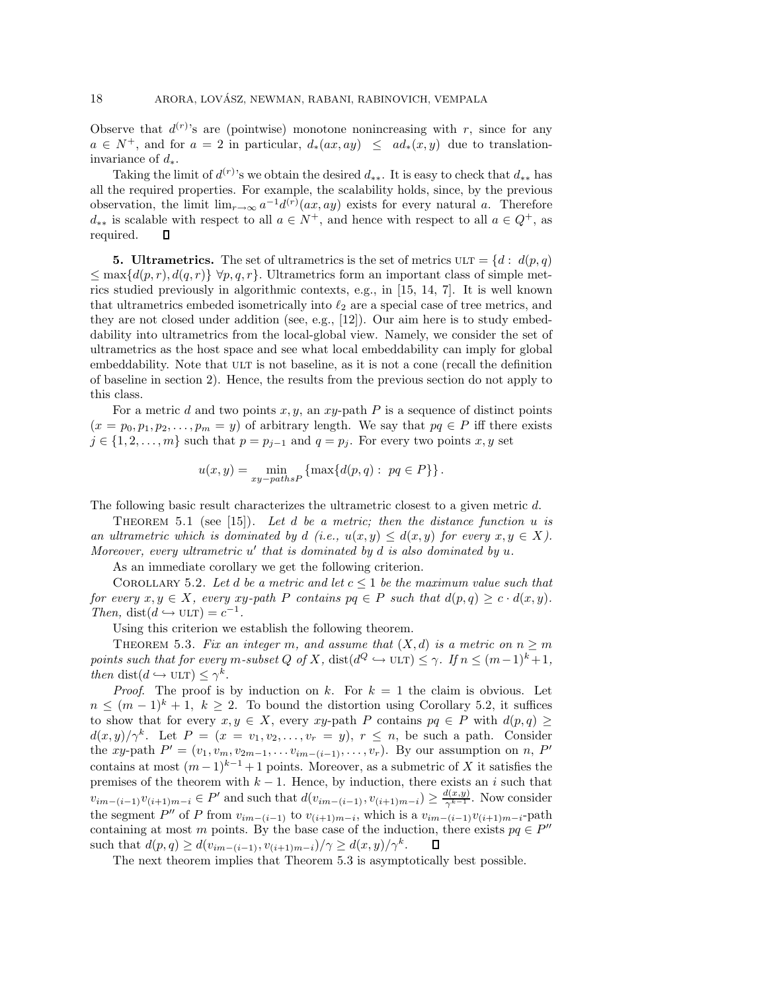Observe that  $d^{(r)}$ 's are (pointwise) monotone nonincreasing with r, since for any  $a \in N^+$ , and for  $a = 2$  in particular,  $d_*(ax, ay) \leq ad_*(x, y)$  due to translationinvariance of  $d_*$ .

Taking the limit of  $d^{(r)}$ 's we obtain the desired  $d_{**}$ . It is easy to check that  $d_{**}$  has all the required properties. For example, the scalability holds, since, by the previous observation, the limit  $\lim_{r\to\infty} a^{-1}d^{(r)}(ax,ay)$  exists for every natural a. Therefore  $d_{**}$  is scalable with respect to all  $a \in N^+$ , and hence with respect to all  $a \in Q^+$ , as required.  $\Box$ 

**5. Ultrametrics.** The set of ultrametrics is the set of metrics  $\text{ULT} = \{d : d(p,q)\}$  $\leq$  max $\{d(p,r), d(q,r)\}\forall p,q,r$ . Ultrametrics form an important class of simple metrics studied previously in algorithmic contexts, e.g., in [15, 14, 7]. It is well known that ultrametrics embeded isometrically into  $\ell_2$  are a special case of tree metrics, and<br>they are not closed under addition (see a.g. [12]). Our aim here is to study embed they are not closed under addition (see, e.g., [12]). Our aim here is to study embeddability into ultrametrics from the local-global view. Namely, we consider the set of ultrametrics as the host space and see what local embeddability can imply for global embeddability. Note that ULT is not baseline, as it is not a cone (recall the definition of baseline in section 2). Hence, the results from the previous section do not apply to this class.

For a metric d and two points  $x, y$ , an  $xy$ -path P is a sequence of distinct points  $(x = p_0, p_1, p_2, \ldots, p_m = y)$  of arbitrary length. We say that  $pq \in P$  iff there exists  $j \in \{1, 2, \ldots, m\}$  such that  $p = p_{j-1}$  and  $q = p_j$ . For every two points x, y set

$$
u(x,y) = \min_{xy-pathsP} \left\{ \max \{ d(p,q) : pq \in P \} \right\}.
$$

The following basic result characterizes the ultrametric closest to a given metric d.

Theorem 5.1 (see [15]). *Let* d *be a metric; then the distance function* u *is an ultrametric which is dominated by*  $d$  *(i.e.,*  $u(x, y) \leq d(x, y)$  *for every*  $x, y \in X$ *). Moreover, every ultrametric* u' that is dominated by d is also dominated by u.

As an immediate corollary we get the following criterion.

COROLLARY 5.2. Let d be a metric and let  $c \leq 1$  be the maximum value such that *for every*  $x, y \in X$ *, every*  $xy$ -path P *contains*  $pq \in P$  *such that*  $d(p,q) \geq c \cdot d(x,y)$ *. Then,* dist $(d \hookrightarrow \text{ULT}) = c^{-1}$ .

Using this criterion we establish the following theorem.

THEOREM 5.3. Fix an integer m, and assume that  $(X,d)$  is a metric on  $n \geq m$ *points such that for every* m-subset Q of X, dist( $d^Q \hookrightarrow$  ULT)  $\leq \gamma$ . If  $n \leq (m-1)^k + 1$ , *then* dist( $d \hookrightarrow$  ULT)  $\leq \gamma^k$ .

*Proof.* The proof is by induction on k. For  $k = 1$  the claim is obvious. Let  $n \leq (m-1)^k + 1$ ,  $k \geq 2$ . To bound the distortion using Corollary 5.2, it suffices to show that for every  $x, y \in X$ , every  $xy$ -path P contains  $pq \in P$  with  $d(p,q) \geq$  $d(x,y)/\gamma^k$ . Let  $P = (x = v_1, v_2, \ldots, v_r = y), r \leq n$ , be such a path. Consider the xy-path  $P' = (v_1, v_m, v_{2m-1}, \ldots, v_{im-(i-1)}, \ldots, v_r)$ . By our assumption on n, P' contains at most  $(m-1)^{k-1}+1$  points. Moreover, as a submetric of X it satisfies the premises of the theorem with  $k - 1$ . Hence, by induction, there exists an i such that  $v_{im-(i-1)}v_{(i+1)m-i} \in P'$  and such that  $d(v_{im-(i-1)}, v_{(i+1)m-i}) \geq \frac{d(x,y)}{\gamma^{k-1}}$ . Now consider the segment P'' of P from  $v_{im-(i-1)}$  to  $v_{(i+1)m-i}$ , which is a  $v_{im-(i-1)}v_{(i+1)m-i}$ -path containing at most m points. By the base case of the induction, there exists  $pq \in P''$ such that  $d(p, q) \geq d(v_{im-(i-1)}, v_{(i+1)m-i})/\gamma \geq d(x, y)/\gamma^{k}$ .  $\Box$ 

The next theorem implies that Theorem 5.3 is asymptotically best possible.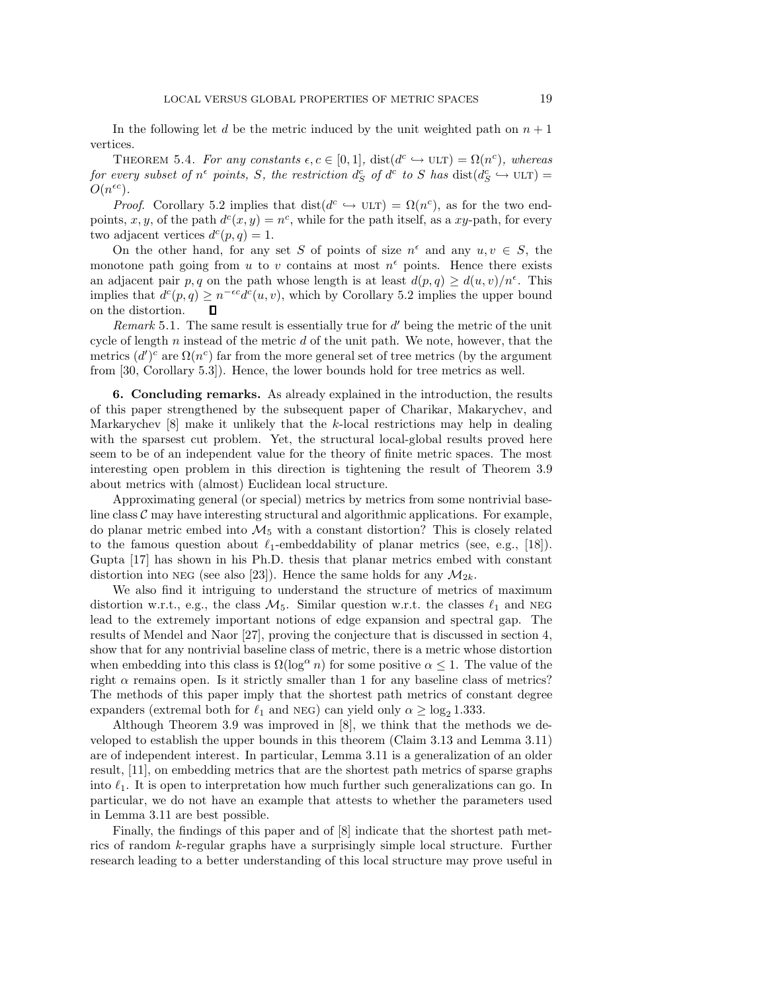In the following let d be the metric induced by the unit weighted path on  $n + 1$ vertices.

THEOREM 5.4. For any constants  $\epsilon, c \in [0, 1]$ ,  $dist(d^c \hookrightarrow ULT) = \Omega(n^c)$ , whereas *for every subset of*  $n^{\epsilon}$  *points, S, the restriction*  $d_S^c$  *of*  $d^c$  *to S has* dist $(d_S^c \leftrightarrow ULT) =$  $O(n^{\epsilon c})$ .

*Proof.* Corollary 5.2 implies that dist( $d^c \leftrightarrow \text{ULT}$ ) =  $\Omega(n^c)$ , as for the two endpoints, x, y, of the path  $d^c(x, y) = n^c$ , while for the path itself, as a xy-path, for every two adjacent vertices  $d^c(p,q) = 1$ .

On the other hand, for any set S of points of size  $n^{\epsilon}$  and any  $u, v \in S$ , the monotone path going from u to v contains at most  $n^{\epsilon}$  points. Hence there exists an adjacent pair p, q on the path whose length is at least  $d(p,q) \geq d(u,v)/n^{\epsilon}$ . This implies that  $d^c(p,q) \geq n^{-\epsilon c} d^c(u,v)$ , which by Corollary 5.2 implies the upper bound on the distortion.  $\Box$ 

*Remark* 5.1. The same result is essentially true for  $d'$  being the metric of the unit cycle of length n instead of the metric  $d$  of the unit path. We note, however, that the metrics  $(d')^c$  are  $\Omega(n^c)$  far from the more general set of tree metrics (by the argument from [30, Corollary 5.3]). Hence, the lower bounds hold for tree metrics as well.

**6. Concluding remarks.** As already explained in the introduction, the results of this paper strengthened by the subsequent paper of Charikar, Makarychev, and Markarychev  $[8]$  make it unlikely that the k-local restrictions may help in dealing with the sparsest cut problem. Yet, the structural local-global results proved here seem to be of an independent value for the theory of finite metric spaces. The most interesting open problem in this direction is tightening the result of Theorem 3.9 about metrics with (almost) Euclidean local structure.

Approximating general (or special) metrics by metrics from some nontrivial baseline class  $\mathcal C$  may have interesting structural and algorithmic applications. For example, do planar metric embed into  $\mathcal{M}_5$  with a constant distortion? This is closely related to the famous question about  $\ell_1$ -embeddability of planar metrics (see, e.g., [18]).<br>Cunta [17] has sharm in his Dh.D. thesis that planar metrics embed with constant Gupta [17] has shown in his Ph.D. thesis that planar metrics embed with constant distortion into NEG (see also [23]). Hence the same holds for any  $M_{2k}$ .

We also find it intriguing to understand the structure of metrics of maximum distortion w.r.t., e.g., the class  $M_5$ . Similar question w.r.t. the classes  $\ell_1$  and NEG lead to the extremely important notions of edge expansion and spectral gap. The results of Mendel and Naor [27], proving the conjecture that is discussed in section 4, show that for any nontrivial baseline class of metric, there is a metric whose distortion when embedding into this class is  $\Omega(\log^{\alpha} n)$  for some positive  $\alpha \leq 1$ . The value of the right  $\alpha$  remains open. Is it strictly smaller than 1 for any baseline class of metrics? The methods of this paper imply that the shortest path metrics of constant degree expanders (extremal both for  $\ell_1$  and NEG) can yield only  $\alpha \ge \log_2 1.333$ .<br>Although Theorem 3.0 was improved in [8], we think that the met

Although Theorem 3.9 was improved in [8], we think that the methods we developed to establish the upper bounds in this theorem (Claim 3.13 and Lemma 3.11) are of independent interest. In particular, Lemma 3.11 is a generalization of an older result, [11], on embedding metrics that are the shortest path metrics of sparse graphs into  $\ell_1$ . It is open to interpretation how much further such generalizations can go. In particular, we do not have an example that attacts to whather the parameters used particular, we do not have an example that attests to whether the parameters used in Lemma 3.11 are best possible.

Finally, the findings of this paper and of [8] indicate that the shortest path metrics of random k-regular graphs have a surprisingly simple local structure. Further research leading to a better understanding of this local structure may prove useful in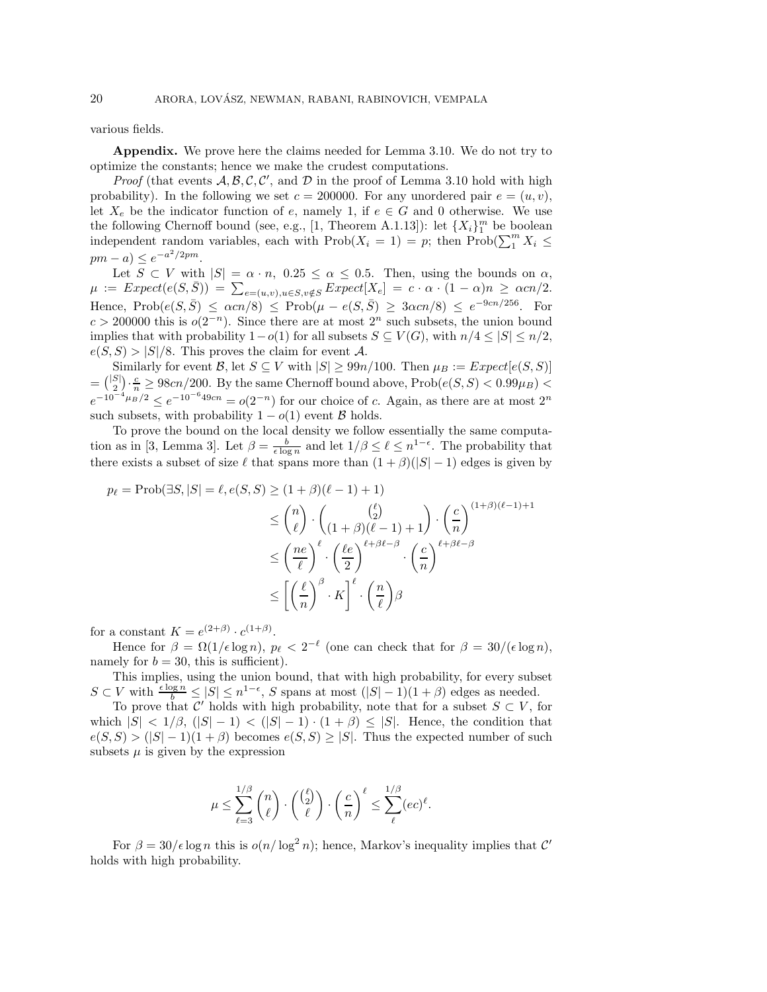various fields.

**Appendix.** We prove here the claims needed for Lemma 3.10. We do not try to optimize the constants; hence we make the crudest computations.

*Proof* (that events  $A, B, C, C'$ , and  $D$  in the proof of Lemma 3.10 hold with high probability). In the following we set  $c = 200000$ . For any unordered pair  $e = (u, v)$ , let  $X_e$  be the indicator function of e, namely 1, if  $e \in G$  and 0 otherwise. We use the following Chernoff bound (see, e.g., [1, Theorem A.1.13]): let  $\{X_i\}_1^m$  be boolean<br>independent random variables, each with  $\text{Prob}(X_i = 1) = m$  then  $\text{Prob}(\sum_{i=1}^{m} X_i \leq$ independent random variables, each with  $\text{Prob}(X_i = 1) = p$ ; then  $\text{Prob}(\sum_{i=1}^{m} X_i \le$  $pm - a) \leq e^{-a^2/2pm}.$ 

Let  $S \subset V$  with  $|S| = \alpha \cdot n$ ,  $0.25 \leq \alpha \leq 0.5$ . Then, using the bounds on  $\alpha$ ,  $\mu := Expect(e(S, \overline{S})) = \sum_{e=(u,v),u \in S, v \notin S} Expect[X_e] = c \cdot \alpha \cdot (1-\alpha)n \geq \alpha cn/2.$ Hence, Prob $(e(S,\bar{S}) \leq \alpha c n/8) \leq$  Prob $(\mu - e(S,\bar{S}) \geq 3\alpha c n/8) \leq e^{-9cn/256}$ . For  $c > 200000$  this is  $o(2^{-n})$ . Since there are at most  $2^n$  such subsets, the union bound implies that with probability  $1-o(1)$  for all subsets  $S \subseteq V(G)$ , with  $n/4 \leq |S| \leq n/2$ ,  $e(S, S) > |S|/8$ . This proves the claim for event A.

Similarly for event  $\mathcal{B}$ , let  $S \subseteq V$  with  $|S| \geq 99n/100$ . Then  $\mu_B := Expected[e(S, S)]$  $=\binom{|S|}{2}\cdot\frac{c}{n}\geq 98cn/200$ . By the same Chernoff bound above,  $Prob(e(S, S) < 0.99\mu_B) <$  $e^{-10^{-4}\mu_B/2} \le e^{-10^{-6}49cn} = o(2^{-n})$  for our choice of c. Again, as there are at most  $2^n$ such subsets, with probability  $1 - o(1)$  event  $\beta$  holds.

To prove the bound on the local density we follow essentially the same computation as in [3, Lemma 3]. Let  $\beta = \frac{b}{\epsilon \log n}$  and let  $1/\beta \leq \ell \leq n^{1-\epsilon}$ . The probability that there exists a subset of size  $\ell$  that spans more than  $(1 + \beta)(|S| - 1)$  edges is given by

$$
p_{\ell} = \text{Prob}(\exists S, |S| = \ell, e(S, S) \ge (1 + \beta)(\ell - 1) + 1)
$$
  
\n
$$
\le {n \choose \ell} \cdot {(\ell - 1) + 1 \choose (1 + \beta)(\ell - 1) + 1} \cdot \left(\frac{c}{n}\right)^{(1 + \beta)(\ell - 1) + 1}
$$
  
\n
$$
\le \left(\frac{ne}{\ell}\right)^{\ell} \cdot \left(\frac{\ell e}{2}\right)^{\ell + \beta \ell - \beta} \cdot \left(\frac{c}{n}\right)^{\ell + \beta \ell - \beta}
$$
  
\n
$$
\le \left[\left(\frac{\ell}{n}\right)^{\beta} \cdot K\right]^{\ell} \cdot \left(\frac{n}{\ell}\right) \beta
$$

for a constant  $K = e^{(2+\beta)} \cdot c^{(1+\beta)}$ .

Hence for  $\beta = \Omega(1/\epsilon \log n)$ ,  $p_{\ell} < 2^{-\ell}$  (one can check that for  $\beta = 30/(\epsilon \log n)$ , namely for  $b = 30$ , this is sufficient).

This implies, using the union bound, that with high probability, for every subset  $S \subset V$  with  $\frac{\epsilon \log n}{b} \leq |S| \leq n^{1-\epsilon}$ , S spans at most  $(|S|-1)(1+\beta)$  edges as needed.

To prove that C' holds with high probability, note that for a subset  $S \subset V$ , for which  $|S| < 1/\beta$ ,  $(|S|-1) < (|S|-1) \cdot (1+\beta) \leq |S|$ . Hence, the condition that  $e(S, S) > (|S| - 1)(1 + \beta)$  becomes  $e(S, S) \geq |S|$ . Thus the expected number of such subsets  $\mu$  is given by the expression

$$
\mu \leq \sum_{\ell=3}^{1/\beta} \binom{n}{\ell} \cdot \binom{\binom{\ell}{2}}{\ell} \cdot \left(\frac{c}{n}\right)^{\ell} \leq \sum_{\ell}^{1/\beta} (ec)^{\ell}.
$$

For  $\beta = 30/\epsilon \log n$  this is  $o(n/\log^2 n)$ ; hence, Markov's inequality implies that C' holds with high probability.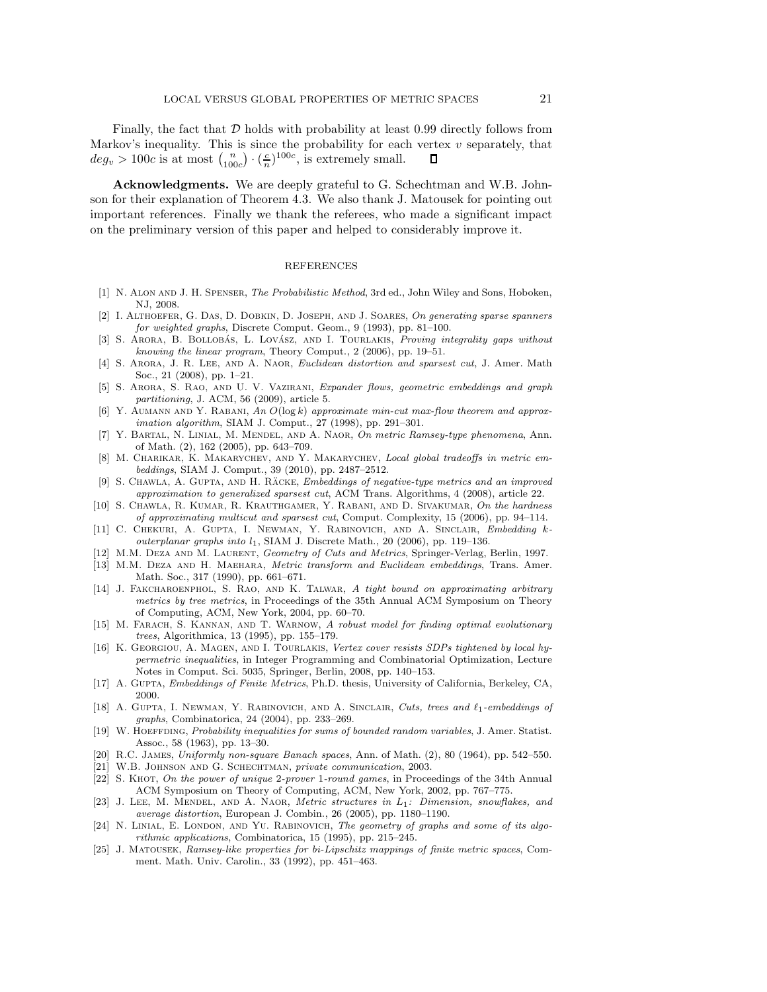Finally, the fact that  $D$  holds with probability at least 0.99 directly follows from Markov's inequality. This is since the probability for each vertex  $v$  separately, that  $deg_v > 100c$  is at most  $\binom{n}{100c} \cdot \left(\frac{c}{n}\right)^{100c}$ , is extremely small.  $\Box$ 

**Acknowledgments.** We are deeply grateful to G. Schechtman and W.B. Johnson for their explanation of Theorem 4.3. We also thank J. Matousek for pointing out important references. Finally we thank the referees, who made a significant impact on the preliminary version of this paper and helped to considerably improve it.

## REFERENCES

- [1] N. Alon and J. H. Spenser, The Probabilistic Method, 3rd ed., John Wiley and Sons, Hoboken, NJ, 2008.
- [2] I. ALTHOEFER, G. DAS, D. DOBKIN, D. JOSEPH, AND J. SOARES, On generating sparse spanners for weighted graphs, Discrete Comput. Geom., 9 (1993), pp. 81–100.
- [3] S. ARORA, B. BOLLOBÁS, L. LOVÁSZ, AND I. TOURLAKIS, *Proving integrality gaps without* knowing the linear program, Theory Comput., 2 (2006), pp. 19–51.
- [4] S. ARORA, J. R. LEE, AND A. NAOR, Euclidean distortion and sparsest cut, J. Amer. Math Soc., 21 (2008), pp. 1–21.
- [5] S. Arora, S. Rao, and U. V. Vazirani, Expander flows, geometric embeddings and graph partitioning, J. ACM, 56 (2009), article 5.
- [6] Y. AUMANN AND Y. RABANI, An  $O(\log k)$  approximate min-cut max-flow theorem and approximation algorithm, SIAM J. Comput., 27 (1998), pp. 291–301.
- [7] Y. Bartal, N. Linial, M. Mendel, and A. Naor, On metric Ramsey-type phenomena, Ann. of Math. (2), 162 (2005), pp. 643–709.
- [8] M. CHARIKAR, K. MAKARYCHEV, AND Y. MAKARYCHEV, Local global tradeoffs in metric embeddings, SIAM J. Comput., 39 (2010), pp. 2487–2512.
- [9] S. CHAWLA, A. GUPTA, AND H. RÄCKE, Embeddings of negative-type metrics and an improved approximation to generalized sparsest cut, ACM Trans. Algorithms, 4 (2008), article 22.
- [10] S. CHAWLA, R. KUMAR, R. KRAUTHGAMER, Y. RABANI, AND D. SIVAKUMAR, On the hardness of approximating multicut and sparsest cut, Comput. Complexity, 15 (2006), pp. 94–114.
- [11] C. Chekuri, A. Gupta, I. Newman, Y. Rabinovich, and A. Sinclair, Embedding kouterplanar graphs into  $l_1$ , SIAM J. Discrete Math., 20 (2006), pp. 119-136.
- [12] M.M. Deza and M. Laurent, Geometry of Cuts and Metrics, Springer-Verlag, Berlin, 1997.
- [13] M.M. Deza and H. Maehara, Metric transform and Euclidean embeddings, Trans. Amer. Math. Soc., 317 (1990), pp. 661–671.
- [14] J. FAKCHAROENPHOL, S. RAO, AND K. TALWAR, A tight bound on approximating arbitrary metrics by tree metrics, in Proceedings of the 35th Annual ACM Symposium on Theory of Computing, ACM, New York, 2004, pp. 60–70.
- [15] M. FARACH, S. KANNAN, AND T. WARNOW, A robust model for finding optimal evolutionary trees, Algorithmica, 13 (1995), pp. 155–179.
- [16] K. GEORGIOU, A. MAGEN, AND I. TOURLAKIS, Vertex cover resists SDPs tightened by local hypermetric inequalities, in Integer Programming and Combinatorial Optimization, Lecture Notes in Comput. Sci. 5035, Springer, Berlin, 2008, pp. 140–153.
- [17] A. Gupta, Embeddings of Finite Metrics, Ph.D. thesis, University of California, Berkeley, CA, 2000.
- [18] A. GUPTA, I. NEWMAN, Y. RABINOVICH, AND A. SINCLAIR, Cuts, trees and  $\ell_1$ -embeddings of graphs, Combinatorica, 24 (2004), pp. 233–269.
- [19] W. HOEFFDING, Probability inequalities for sums of bounded random variables, J. Amer. Statist. Assoc., 58 (1963), pp. 13–30.
- [20] R.C. JAMES, Uniformly non-square Banach spaces, Ann. of Math. (2), 80 (1964), pp. 542–550.
- W.B. JOHNSON AND G. SCHECHTMAN, private communication, 2003.
- [22] S. KHOT, On the power of unique 2-prover 1-round games, in Proceedings of the 34th Annual ACM Symposium on Theory of Computing, ACM, New York, 2002, pp. 767–775.
- [23] J. LEE, M. MENDEL, AND A. NAOR, *Metric structures in*  $L_1$ : *Dimension, snowflakes, and* average distortion, European J. Combin., 26 (2005), pp. 1180–1190.
- [24] N. LINIAL, E. LONDON, AND YU. RABINOVICH, The geometry of graphs and some of its algorithmic applications, Combinatorica, 15 (1995), pp. 215–245.
- [25] J. Matousek, Ramsey-like properties for bi-Lipschitz mappings of finite metric spaces, Comment. Math. Univ. Carolin., 33 (1992), pp. 451–463.